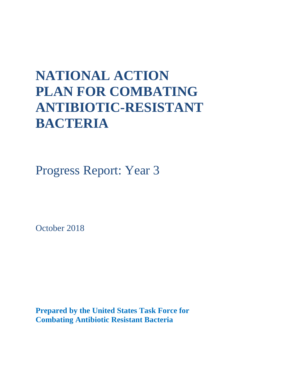# **NATIONAL ACTION PLAN FOR COMBATING ANTIBIOTIC-RESISTANT BACTERIA**

Progress Report: Year 3

October 2018

**Prepared by the United States Task Force for Combating Antibiotic Resistant Bacteria**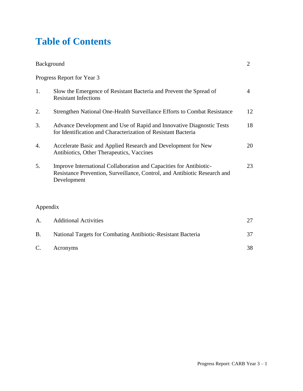### **Table of Contents**

| <b>Background</b> |                                                                                                                                                                |                |
|-------------------|----------------------------------------------------------------------------------------------------------------------------------------------------------------|----------------|
|                   | Progress Report for Year 3                                                                                                                                     |                |
| 1.                | Slow the Emergence of Resistant Bacteria and Prevent the Spread of<br><b>Resistant Infections</b>                                                              | $\overline{4}$ |
| 2.                | Strengthen National One-Health Surveillance Efforts to Combat Resistance                                                                                       | 12             |
| 3.                | Advance Development and Use of Rapid and Innovative Diagnostic Tests<br>for Identification and Characterization of Resistant Bacteria                          | 18             |
| 4.                | Accelerate Basic and Applied Research and Development for New<br>Antibiotics, Other Therapeutics, Vaccines                                                     | 20             |
| 5.                | Improve International Collaboration and Capacities for Antibiotic-<br>Resistance Prevention, Surveillance, Control, and Antibiotic Research and<br>Development | 23             |

### Appendix

| A.        | <b>Additional Activities</b>                                 |    |
|-----------|--------------------------------------------------------------|----|
| <b>B.</b> | National Targets for Combating Antibiotic-Resistant Bacteria | 37 |
| C.        | Acronyms                                                     | 38 |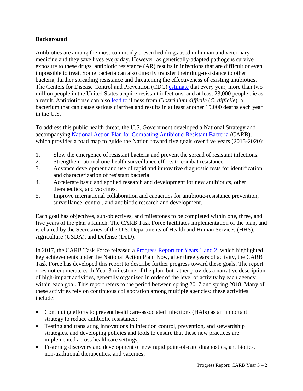#### **Background**

Antibiotics are among the most commonly prescribed drugs used in human and veterinary medicine and they save lives every day. However, as genetically-adapted pathogens survive exposure to these drugs, antibiotic resistance (AR) results in infections that are difficult or even impossible to treat. Some bacteria can also directly transfer their drug-resistance to other bacteria, further spreading resistance and threatening the effectiveness of existing antibiotics. The Centers for Disease Control and Prevention (CDC) [estimate](https://www.cdc.gov/drugresistance/about.html) that every year, more than two million people in the United States acquire resistant infections, and at least 23,000 people die as a result. Antibiotic use can also [lead to](https://www.cdc.gov/hai/organisms/cdiff/cdiff_infect.html) illness from *Clostridium difficile* (*C. difficile*), a bacterium that can cause serious diarrhea and results in at least another 15,000 deaths each year in the U.S.

To address this public health threat, the U.S. Government developed a National Strategy and accompanying [National Action Plan for Combating Antibiotic-Resistant Bacteria](https://obamawhitehouse.archives.gov/sites/default/files/docs/national_action_plan_for_combating_antibotic-resistant_bacteria.pdf) (CARB), which provides a road map to guide the Nation toward five goals over five years (2015-2020):

- 1. Slow the emergence of resistant bacteria and prevent the spread of resistant infections.
- 2. Strengthen national one-health surveillance efforts to combat resistance.
- 3. Advance development and use of rapid and innovative diagnostic tests for identification and characterization of resistant bacteria.
- 4. Accelerate basic and applied research and development for new antibiotics, other therapeutics, and vaccines.
- 5. Improve international collaboration and capacities for antibiotic-resistance prevention, surveillance, control, and antibiotic research and development.

Each goal has objectives, sub-objectives, and milestones to be completed within one, three, and five years of the plan's launch. The CARB Task Force facilitates implementation of the plan, and is chaired by the Secretaries of the U.S. Departments of Health and Human Services (HHS), Agriculture (USDA), and Defense (DoD).

In 2017, the CARB Task Force released a [Progress Report for Years 1 and 2,](https://aspe.hhs.gov/system/files/pdf/258516/ProgressYears1and2CARBNationalActionPlan.pdf) which highlighted key achievements under the National Action Plan. Now, after three years of activity, the CARB Task Force has developed this report to describe further progress toward these goals. The report does not enumerate each Year 3 milestone of the plan, but rather provides a narrative description of high-impact activities, generally organized in order of the level of activity by each agency within each goal. This report refers to the period between spring 2017 and spring 2018. Many of these activities rely on continuous collaboration among multiple agencies; these activities include:

- Continuing efforts to prevent healthcare-associated infections (HAIs) as an important strategy to reduce antibiotic resistance;
- Testing and translating innovations in infection control, prevention, and stewardship strategies, and developing policies and tools to ensure that these new practices are implemented across healthcare settings;
- Fostering discovery and development of new rapid point-of-care diagnostics, antibiotics, non-traditional therapeutics, and vaccines;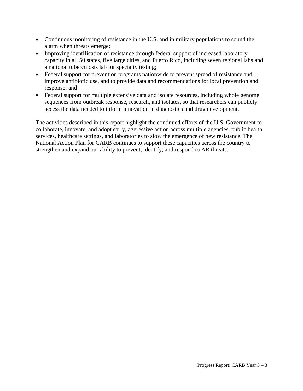- Continuous monitoring of resistance in the U.S. and in military populations to sound the alarm when threats emerge;
- Improving identification of resistance through federal support of increased laboratory capacity in all 50 states, five large cities, and Puerto Rico, including seven regional labs and a national tuberculosis lab for specialty testing;
- Federal support for prevention programs nationwide to prevent spread of resistance and improve antibiotic use, and to provide data and recommendations for local prevention and response; and
- Federal support for multiple extensive data and isolate resources, including whole genome sequences from outbreak response, research, and isolates, so that researchers can publicly access the data needed to inform innovation in diagnostics and drug development.

The activities described in this report highlight the continued efforts of the U.S. Government to collaborate, innovate, and adopt early, aggressive action across multiple agencies, public health services, healthcare settings, and laboratories to slow the emergence of new resistance. The National Action Plan for CARB continues to support these capacities across the country to strengthen and expand our ability to prevent, identify, and respond to AR threats.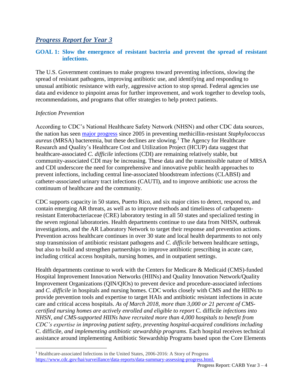### *Progress Report for Year 3*

#### **GOAL 1: Slow the emergence of resistant bacteria and prevent the spread of resistant infections.**

The U.S. Government continues to make progress toward preventing infections, slowing the spread of resistant pathogens, improving antibiotic use, and identifying and responding to unusual antibiotic resistance with early, aggressive action to stop spread. Federal agencies use data and evidence to pinpoint areas for further improvement, and work together to develop tools, recommendations, and programs that offer strategies to help protect patients.

#### *Infection Prevention*

 $\overline{a}$ 

According to CDC's National Healthcare Safety Network (NHSN) and other CDC data sources, the nation has seen [major progress](https://www.cdc.gov/hai/surveillance/data-reports/data-summary-assessing-progress.html) since 2005 in preventing methicillin-resistant *Staphylococcus aureus* (MRSA) bacteremia, but these declines are slowing.<sup>1</sup> The Agency for Healthcare Research and Quality's Healthcare Cost and Utilization Project (HCUP) data suggest that healthcare-associated *C. difficile* infections (CDI) are remaining relatively stable, but community-associated CDI may be increasing. These data and the transmissible nature of MRSA and CDI underscore the need for comprehensive and innovative public health approaches to prevent infections, including central line-associated bloodstream infections (CLABSI) and catheter-associated urinary tract infections (CAUTI), and to improve antibiotic use across the continuum of healthcare and the community.

CDC supports capacity in 50 states, Puerto Rico, and six major cities to detect, respond to, and contain emerging AR threats, as well as to improve methods and timeliness of carbapenemresistant Enterobacteriaceae (CRE) laboratory testing in all 50 states and specialized testing in the seven regional laboratories. Health departments continue to use data from NHSN, outbreak investigations, and the AR Laboratory Network to target their response and prevention actions. Prevention across healthcare continues in over 30 state and local health departments to not only stop transmission of antibiotic resistant pathogens and *C. difficile* between healthcare settings, but also to build and strengthen partnerships to improve antibiotic prescribing in acute care, including critical access hospitals, nursing homes, and in outpatient settings.

Health departments continue to work with the Centers for Medicare & Medicaid (CMS)-funded Hospital Improvement Innovation Networks (HIINs) and Quality Innovation Network/Quality Improvement Organizations (QIN/QIOs) to prevent device and procedure-associated infections and *C. difficile* in hospitals and nursing homes. CDC works closely with CMS and the HIINs to provide prevention tools and expertise to target HAIs and antibiotic resistant infections in acute care and critical access hospitals. *As of March 2018, more than 3,000 or 21 percent of CMScertified nursing homes are actively enrolled and eligible to report* C. difficile *infections into NHSN, and CMS-supported HIINs have recruited more than 4,000 hospitals to benefit from CDC's expertise in improving patient safety, preventing hospital-acquired conditions including*  C. difficile*, and implementing antibiotic stewardship programs.* Each hospital receives technical assistance around implementing Antibiotic Stewardship Programs based upon the Core Elements

<sup>1</sup> Healthcare-associated Infections in the United States, 2006-2016: A Story of Progress [https://www.cdc.gov/hai/surveillance/data-reports/data-summary-assessing-progress.html.](https://www.cdc.gov/hai/surveillance/data-reports/data-summary-assessing-progress.html)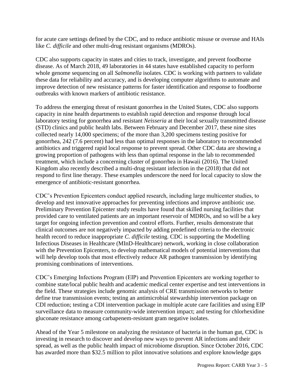for acute care settings defined by the CDC, and to reduce antibiotic misuse or overuse and HAIs like *C. difficile* and other multi-drug resistant organisms (MDROs).

CDC also supports capacity in states and cities to track, investigate, and prevent foodborne disease. As of March 2018, 49 laboratories in 44 states have established capacity to perform whole genome sequencing on all *Salmonella* isolates. CDC is working with partners to validate these data for reliability and accuracy, and is developing computer algorithms to automate and improve detection of new resistance patterns for faster identification and response to foodborne outbreaks with known markers of antibiotic resistance.

To address the emerging threat of resistant gonorrhea in the United States, CDC also supports capacity in nine health departments to establish rapid detection and response through local laboratory testing for gonorrhea and resistant *Neisseria* at their local sexually transmitted disease (STD) clinics and public health labs. Between February and December 2017, these nine sites collected nearly 14,000 specimens; of the more than 3,200 specimens testing positive for gonorrhea, 242 (7.6 percent) had less than optimal responses in the laboratory to recommended antibiotics and triggered rapid local response to prevent spread. Other CDC data are showing a growing proportion of pathogens with less than optimal response in the lab to recommended treatment, which include a concerning cluster of gonorrhea in Hawaii (2016). The United Kingdom also recently described a multi-drug resistant infection in the (2018) that did not respond to first line therapy. These examples underscore the need for local capacity to slow the emergence of antibiotic-resistant gonorrhea.

CDC's Prevention Epicenters conduct applied research, including large multicenter studies, to develop and test innovative approaches for preventing infections and improve antibiotic use. Preliminary Prevention Epicenter study results have found that skilled nursing facilities that provided care to ventilated patients are an important reservoir of MDROs, and so will be a key target for ongoing infection prevention and control efforts. Further, results demonstrate that clinical outcomes are not negatively impacted by adding predefined criteria to the electronic health record to reduce inappropriate *C. difficile* testing. CDC is supporting the Modelling Infectious Diseases in Healthcare (MInD-Healthcare) network, working in close collaboration with the Prevention Epicenters, to develop mathematical models of potential interventions that will help develop tools that most effectively reduce AR pathogen transmission by identifying promising combinations of interventions.

CDC's Emerging Infections Program (EIP) and Prevention Epicenters are working together to combine state/local public health and academic medical center expertise and test interventions in the field. These strategies include genomic analysis of CRE transmission networks to better define true transmission events; testing an antimicrobial stewardship intervention package on CDI reduction; testing a CDI intervention package in multiple acute care facilities and using EIP surveillance data to measure community-wide intervention impact; and testing for chlorhexidine gluconate resistance among carbapenem-resistant gram negative isolates.

Ahead of the Year 5 milestone on analyzing the resistance of bacteria in the human gut, CDC is investing in research to discover and develop new ways to prevent AR infections and their spread, as well as the public health impact of microbiome disruption. Since October 2016, CDC has awarded more than \$32.5 million to pilot innovative solutions and explore knowledge gaps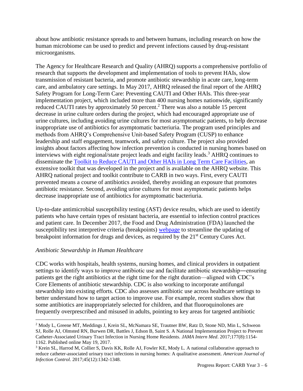about how antibiotic resistance spreads to and between humans, including research on how the human microbiome can be used to predict and prevent infections caused by drug-resistant microorganisms.

The Agency for Healthcare Research and Quality (AHRQ) supports a comprehensive portfolio of research that supports the development and implementation of tools to prevent HAIs, slow transmission of resistant bacteria, and promote antibiotic stewardship in acute care, long-term care, and ambulatory care settings. In May 2017, AHRQ released the final report of the AHRQ Safety Program for Long-Term Care: Preventing CAUTI and Other HAIs. This three-year implementation project, which included more than 400 nursing homes nationwide, significantly reduced CAUTI rates by approximately 50 percent.<sup>2</sup> There was also a notable 15 percent decrease in urine culture orders during the project, which had encouraged appropriate use of urine cultures, including avoiding urine cultures for most asymptomatic patients, to help decrease inappropriate use of antibiotics for asymptomatic bacteriuria. The program used principles and methods from AHRQ's Comprehensive Unit-based Safety Program (CUSP) to enhance leadership and staff engagement, teamwork, and safety culture. The project also provided insights about factors affecting how infection prevention is conducted in nursing homes based on interviews with eight regional/state project leads and eight facility leads.<sup>3</sup> AHRQ continues to disseminate the [Toolkit to Reduce CAUTI and Other HAIs in Long Term Care Facilities,](https://www.ahrq.gov/professionals/quality-patient-safety/quality-resources/tools/cauti-ltc/index.html) an extensive toolkit that was developed in the project and is available on the AHRQ website. This AHRQ national project and toolkit contribute to CARB in two ways. First, every CAUTI prevented means a course of antibiotics avoided, thereby avoiding an exposure that promotes antibiotic resistance. Second, avoiding urine cultures for most asymptomatic patients helps decrease inappropriate use of antibiotics for asymptomatic bacteriuria.

Up-to-date antimicrobial susceptibility testing (AST) device results, which are used to identify patients who have certain types of resistant bacteria, are essential to infection control practices and patient care. In December 2017, the Food and Drug Administration (FDA) launched the susceptibility test interpretive criteria (breakpoints) [webpage](http://www.fda.gov/STIC) to streamline the updating of breakpoint information for drugs and devices, as required by the  $21<sup>st</sup>$  Century Cures Act.

#### *Antibiotic Stewardship in Human Healthcare*

 $\overline{a}$ 

CDC works with hospitals, health systems, nursing homes, and clinical providers in outpatient settings to identify ways to improve antibiotic use and facilitate antibiotic stewardship―ensuring patients get the right antibiotics at the right time for the right duration—aligned with CDC's Core Elements of antibiotic stewardship. CDC is also working to incorporate antifungal stewardship into existing efforts. CDC also assesses antibiotic use across healthcare settings to better understand how to target action to improve use. For example, recent studies show that some antibiotics are inappropriately selected for children, and that fluoroquinolones are frequently overprescribed and misused in adults, pointing to key areas for targeted antibiotic

<sup>2</sup> Mody L, Greene MT, Meddings J, Krein SL, McNamara SE, Trautner BW, Ratz D, Stone ND, Min L, Schweon SJ, Rolle AJ, Olmsted RN, Burwen DR, Battles J, Edson B, Saint S. A National Implementation Project to Prevent Catheter-Associated Urinary Tract Infection in Nursing Home Residents. *JAMA Intern Med*. 2017;177(8):1154- 1162. Published online May 19, 2017.

<sup>3</sup> Krein SL, Harrod M, Collier S, Davis KK, Rolle AJ, Fowler KE, Mody L. A national collaborative approach to reduce catheter-associated urinary tract infections in nursing homes: A qualitative assessment. *American Journal of Infection Control.* 2017;45(12):1342-1348.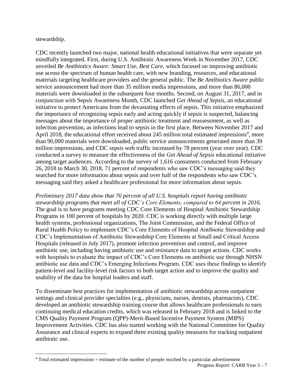stewardship.

CDC recently launched two major, national health educational initiatives that were separate yet mindfully integrated. First, during U.S. Antibiotic Awareness Week in November 2017, CDC unveiled *Be Antibiotics Aware: Smart Use, Best Care*, which focused on improving antibiotic use across the spectrum of human health care, with new branding, resources, and educational materials targeting healthcare providers and the general public. The *Be Antibiotics Aware* public service announcement had more than 35 million media impressions, and more than 86,000 materials were downloaded in the subsequent four months. Second, on August 31, 2017, and in conjunction with Sepsis Awareness Month, CDC launched *Get Ahead of Sepsis*, an educational initiative to protect Americans from the devastating effects of sepsis. This initiative emphasized the importance of recognizing sepsis early and acting quickly if sepsis is suspected, balancing messages about the importance of proper antibiotic treatment and reassessment, as well as infection prevention, as infections lead to sepsis in the first place. Between November 2017 and April 2018, the educational effort received about 245 million total estimated impressions<sup>4</sup>, more than 90,000 materials were downloaded, public service announcements generated more than 39 million impressions, and CDC sepsis web traffic increased by 78 percent (year over year). CDC conducted a survey to measure the effectiveness of the *Get Ahead of Sepsis* educational initiative among target audiences. According to the survey of 1,616 consumers conducted from February 26, 2018 to March 30, 2018, 71 percent of respondents who saw CDC's messaging said they searched for more information about sepsis and over half of the respondents who saw CDC's messaging said they asked a healthcare professional for more information about sepsis.

*Preliminary 2017 data show that 76 percent of all U.S. hospitals report having antibiotic stewardship programs that meet all of CDC's Core Elements, compared to 64 percent in 2016.* The goal is to have programs meeting CDC Core Elements of Hospital Antibiotic Stewardship Programs in 100 percent of hospitals by 2020. CDC is working directly with multiple large health systems, professional organizations, The Joint Commission, and the Federal Office of Rural Health Policy to implement CDC's Core Elements of Hospital Antibiotic Stewardship and CDC's Implementation of Antibiotic Stewardship Core Elements at Small and Critical Access Hospitals (released in July 2017), promote infection prevention and control, and improve antibiotic use, including having antibiotic use and resistance data to target actions. CDC works with hospitals to evaluate the impact of CDC's Core Elements on antibiotic use through NHSN antibiotic use data and CDC's Emerging Infections Program. CDC uses these findings to identify patient-level and facility-level risk factors to both target action and to improve the quality and usability of the data for hospital leaders and staff.

To disseminate best practices for implementation of antibiotic stewardship across outpatient settings and clinical provider specialties (e.g., physicians, nurses, dentists, pharmacists), CDC developed an antibiotic stewardship training course that allows healthcare professionals to earn continuing medical education credits, which was released in February 2018 and is linked to the CMS Quality Payment Program (QPP)-Merit-Based Incentive Payment System (MIPS) Improvement Activities. CDC has also started working with the National Committee for Quality Assurance and clinical experts to expand three existing quality measures for tracking outpatient antibiotic use.

 $\overline{a}$ <sup>4</sup> Total estimated impressions = estimate of the number of people reached by a particular advertisement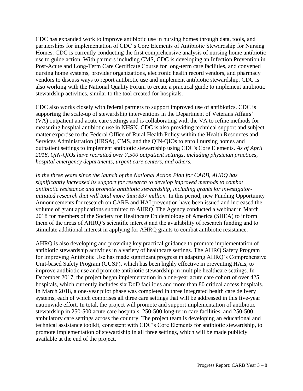CDC has expanded work to improve antibiotic use in nursing homes through data, tools, and partnerships for implementation of CDC's Core Elements of Antibiotic Stewardship for Nursing Homes. CDC is currently conducting the first comprehensive analysis of nursing home antibiotic use to guide action. With partners including CMS, CDC is developing an Infection Prevention in Post-Acute and Long-Term Care Certificate Course for long-term care facilities, and convened nursing home systems, provider organizations, electronic health record vendors, and pharmacy vendors to discuss ways to report antibiotic use and implement antibiotic stewardship. CDC is also working with the National Quality Forum to create a practical guide to implement antibiotic stewardship activities, similar to the tool created for hospitals.

CDC also works closely with federal partners to support improved use of antibiotics. CDC is supporting the scale-up of stewardship interventions in the Department of Veterans Affairs' (VA) outpatient and acute care settings and is collaborating with the VA to refine methods for measuring hospital antibiotic use in NHSN. CDC is also providing technical support and subject matter expertise to the Federal Office of Rural Health Policy within the Health Resources and Services Administration (HRSA), CMS, and the QIN-QIOs to enroll nursing homes and outpatient settings to implement antibiotic stewardship using CDC's Core Elements. *As of April 2018, QIN-QIOs have recruited over 7,500 outpatient settings, including physician practices, hospital emergency departments, urgent care centers, and others.*

*In the three years since the launch of the National Action Plan for CARB, AHRQ has significantly increased its support for research to develop improved methods to combat antibiotic resistance and promote antibiotic stewardship, including grants for investigatorinitiated research that will total more than \$37 million.* In this period, new Funding Opportunity Announcements for research on CARB and HAI prevention have been issued and increased the volume of grant applications submitted to AHRQ. The Agency conducted a webinar in March 2018 for members of the Society for Healthcare Epidemiology of America (SHEA) to inform them of the areas of AHRQ's scientific interest and the availability of research funding and to stimulate additional interest in applying for AHRQ grants to combat antibiotic resistance.

AHRQ is also developing and providing key practical guidance to promote implementation of antibiotic stewardship activities in a variety of healthcare settings. The AHRQ Safety Program for Improving Antibiotic Use has made significant progress in adapting AHRQ's Comprehensive Unit-based Safety Program (CUSP), which has been highly effective in preventing HAIs, to improve antibiotic use and promote antibiotic stewardship in multiple healthcare settings. In December 2017, the project began implementation in a one-year acute care cohort of over 425 hospitals, which currently includes six DoD facilities and more than 80 critical access hospitals. In March 2018, a one-year pilot phase was completed in three integrated health care delivery systems, each of which comprises all three care settings that will be addressed in this five-year nationwide effort. In total, the project will promote and support implementation of antibiotic stewardship in 250-500 acute care hospitals, 250-500 long-term care facilities, and 250-500 ambulatory care settings across the country. The project team is developing an educational and technical assistance toolkit, consistent with CDC's Core Elements for antibiotic stewardship, to promote implementation of stewardship in all three settings, which will be made publicly available at the end of the project.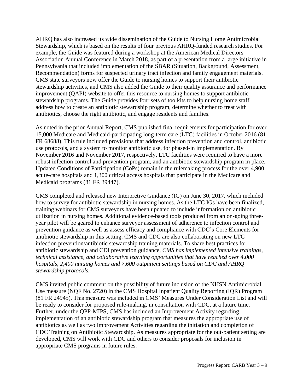AHRQ has also increased its wide dissemination of the Guide to Nursing Home Antimicrobial Stewardship, which is based on the results of four previous AHRQ-funded research studies. For example, the Guide was featured during a workshop at the American Medical Directors Association Annual Conference in March 2018, as part of a presentation from a large initiative in Pennsylvania that included implementation of the SBAR (Situation, Background, Assessment, Recommendation) forms for suspected urinary tract infection and family engagement materials. CMS state surveyors now offer the Guide to nursing homes to support their antibiotic stewardship activities, and CMS also added the Guide to their quality assurance and performance improvement (QAPI) website to offer this resource to nursing homes to support antibiotic stewardship programs. The Guide provides four sets of toolkits to help nursing home staff address how to create an antibiotic stewardship program, determine whether to treat with antibiotics, choose the right antibiotic, and engage residents and families.

As noted in the prior Annual Report, CMS published final requirements for participation for over 15,000 Medicare and Medicaid-participating long-term care (LTC) facilities in October 2016 (81 FR 68688). This rule included provisions that address infection prevention and control, antibiotic use protocols, and a system to monitor antibiotic use, for phased-in implementation. By November 2016 and November 2017, respectively, LTC facilities were required to have a more robust infection control and prevention program, and an antibiotic stewardship program in place. Updated Conditions of Participation (CoPs) remain in the rulemaking process for the over 4,900 acute-care hospitals and 1,300 critical access hospitals that participate in the Medicare and Medicaid programs (81 FR 39447).

CMS completed and released new Interpretive Guidance (IG) on June 30, 2017, which included how to survey for antibiotic stewardship in nursing homes. As the LTC IGs have been finalized, training webinars for CMS surveyors have been updated to include information on antibiotic utilization in nursing homes. Additional evidence-based tools produced from an on-going threeyear pilot will be geared to enhance surveyor assessment of adherence to infection control and prevention guidance as well as assess efficacy and compliance with CDC's Core Elements for antibiotic stewardship in this setting. CMS and CDC are also collaborating on new LTC infection prevention/antibiotic stewardship training materials. To share best practices for antibiotic stewardship and CDI prevention guidance, *CMS has implemented intensive trainings, technical assistance, and collaborative learning opportunities that have reached over 4,000 hospitals, 2,400 nursing homes and 7,600 outpatient settings based on CDC and AHRQ stewardship protocols.*

CMS invited public comment on the possibility of future inclusion of the NHSN Antimicrobial Use measure (NQF No. 2720) in the CMS Hospital Inpatient Quality Reporting (IQR) Program (81 FR 24945). This measure was included in CMS' Measures Under Consideration List and will be ready to consider for proposed rule-making, in consultation with CDC, at a future time. Further, under the QPP-MIPS, CMS has included an Improvement Activity regarding implementation of an antibiotic stewardship program that measures the appropriate use of antibiotics as well as two Improvement Activities regarding the initiation and completion of CDC Training on Antibiotic Stewardship. As measures appropriate for the out-patient setting are developed, CMS will work with CDC and others to consider proposals for inclusion in appropriate CMS programs in future rules.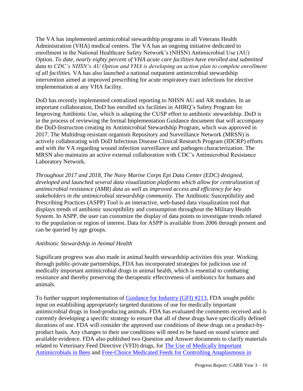The VA has implemented antimicrobial stewardship programs in all Veterans Health Administration (VHA) medical centers. The VA has an ongoing initiative dedicated to enrollment in the National Healthcare Safety Network's (NHSN) Antimicrobial Use (AU) Option. *To date, nearly eighty percent of VHA acute care facilities have enrolled and submitted data to CDC's NHSN's AU Option and VHA is developing an action plan to complete enrollment of all facilities.* VA has also launched a national outpatient antimicrobial stewardship intervention aimed at improved prescribing for acute respiratory tract infections for elective implementation at any VHA facility.

DoD has recently implemented centralized reporting to NHSN AU and AR modules. In an important collaboration, DoD has enrolled six facilities in AHRQ's Safety Program for Improving Antibiotic Use, which is adapting the CUSP effort to antibiotic stewardship. DoD is in the process of reviewing the formal Implementation Guidance document that will accompany the DoD-Instruction creating its Antimicrobial Stewardship Program, which was approved in 2017. The Multidrug-resistant organism Repository and Surveillance Network (MRSN) is actively collaborating with DoD Infectious Disease Clinical Research Program (IDCRP) efforts and with the VA regarding wound infection surveillance and pathogen characterization. The MRSN also maintains an active external collaboration with CDC's Antimicrobial Resistance Laboratory Network.

*Throughout 2017 and 2018, The Navy Marine Corps Epi Data Center (EDC) designed, developed and launched several data visualization platforms which allow for centralization of antimicrobial resistance (AMR) data as well as improved access and efficiency for key stakeholders in the antimicrobial stewardship community.* The Antibiotic Susceptibility and Prescribing Practices (ASPP) Tool is an interactive, web-based data visualization tool that displays trends of antibiotic susceptibility and consumption throughout the Military Health System. In ASPP, the user can customize the display of data points to investigate trends related to the population or region of interest. Data for ASPP is available from 2006 through present and can be queried by age groups.

#### *Antibiotic Stewardship in Animal Health*

Significant progress was also made in animal health stewardship activities this year. Working through public-private partnerships, FDA has incorporated strategies for judicious use of medically important antimicrobial drugs in animal health, which is essential to combating resistance and thereby preserving the therapeutic effectiveness of antibiotics for humans and animals.

To further support implementation of [Guidance for Industry \(GFI\) #213,](https://www.fda.gov/downloads/AnimalVeterinary/GuidanceComplianceEnforcement/GuidanceforIndustry/UCM299624.pdf) FDA sought public input on establishing appropriately targeted durations of use for medically important antimicrobial drugs in food-producing animals. FDA has evaluated the comments received and is currently developing a specific strategy to ensure that all of these drugs have specifically defined durations of use. FDA will consider the approved use conditions of these drugs on a product-byproduct basis. Any changes to their use conditions will need to be based on sound science and available evidence. FDA also published two Question and Answer documents to clarify materials related to Veterinary Feed Directive (VFD) drugs, for [The Use of Medically Important](https://www.fda.gov/AnimalVeterinary/DevelopmentApprovalProcess/ucm589399.htm)  [Antimicrobials in Bees](https://www.fda.gov/AnimalVeterinary/DevelopmentApprovalProcess/ucm589399.htm) and [Free-Choice Medicated Feeds for Controlling Anaplasmosis in](https://www.fda.gov/AnimalVeterinary/DevelopmentApprovalProcess/ucm589933.htm)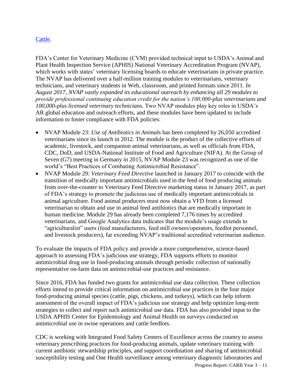#### [Cattle.](https://www.fda.gov/AnimalVeterinary/DevelopmentApprovalProcess/ucm589933.htm)

FDA's Center for Veterinary Medicine (CVM) provided technical input to USDA's Animal and Plant Health Inspection Service (APHIS) National Veterinary Accreditation Program (NVAP), which works with states' veterinary licensing boards to educate veterinarians in private practice. The NVAP has delivered over a half-million training modules to veterinarians, veterinary technicians, and veterinary students in Web, classroom, and printed formats since 2011. *In August 2017, NVAP vastly expanded its educational outreach by enhancing all 29 modules to provide professional continuing education credit for the nation's 100,000-plus veterinarians and 100,000-plus licensed veterinary technicians.* Two NVAP modules play key roles in USDA's AR global education and outreach efforts, and these modules have been updated to include information to foster compliance with FDA policies:

- NVAP Module 23: *Use of Antibiotics in Animals* has been completed by 26,050 accredited veterinarians since its launch in 2012. The module is the product of the collective efforts of academic, livestock, and companion animal veterinarians, as well as officials from FDA, CDC, DoD, and USDA-National Institute of Food and Agriculture (NIFA). At the Group of Seven (G7) meeting in Germany in 2015, NVAP Module 23 was recognized as one of the world's "Best Practices of Combating Antimicrobial Resistance".
- NVAP Module 29: *Veterinary Feed Directive* launched in January 2017 to coincide with the transition of medically important antimicrobials used in the feed of food producing animals from over-the-counter to Veterinary Feed Directive marketing status in January 2017, as part of FDA's strategy to promote the judicious use of medically important antimicrobials in animal agriculture. Food animal producers must now obtain a VFD from a licensed veterinarian to obtain and use in animal feed antibiotics that are medically important in human medicine. Module 29 has already been completed 7,176 times by accredited veterinarians, and Google Analytics data indicates that the module's usage extends to "agriculturalist" users (feed manufacturers, feed mill owners/operators, feedlot personnel, and livestock producers), far exceeding NVAP's traditional accredited veterinarian audience.

To evaluate the impacts of FDA policy and provide a more comprehensive, science-based approach to assessing FDA's judicious use strategy, FDA supports efforts to monitor antimicrobial drug use in food-producing animals through periodic collection of nationally representative on-farm data on antimicrobial-use practices and resistance.

Since 2016, FDA has funded two grants for antimicrobial use data collection. These collection efforts intend to provide critical information on antimicrobial use practices in the four major food-producing animal species (cattle, pigs, chickens, and turkeys), which can help inform assessment of the overall impact of FDA's judicious use strategy and help optimize long-term strategies to collect and report such antimicrobial use data. FDA has also provided input to the USDA APHIS Center for Epidemiology and Animal Health on surveys conducted on antimicrobial use in swine operations and cattle feedlots.

CDC is working with Integrated Food Safety Centers of Excellence across the country to assess veterinary prescribing practices for food-producing animals, update veterinary training with current antibiotic stewardship principles, and support coordination and sharing of antimicrobial susceptibility testing and One Health surveillance among veterinary diagnostic laboratories and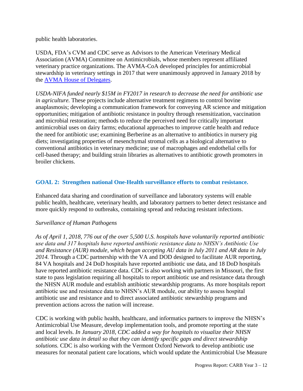public health laboratories.

USDA, FDA's CVM and CDC serve as Advisors to the American Veterinary Medical Association (AVMA) Committee on Antimicrobials, whose members represent affiliated veterinary practice organizations. The AVMA-CoA developed principles for antimicrobial stewardship in veterinary settings in 2017 that were unanimously approved in January 2018 by the [AVMA House of Delegates.](https://www.avma.org/News/PressRoom/Pages/Antimicrobial-resistance-AVMA-takes-steps-to-address-critical-health-issue.aspx)

*USDA-NIFA funded nearly \$15M in FY2017 in research to decrease the need for antibiotic use in agriculture.* These projects include alternative treatment regimens to control bovine anaplasmosis; developing a communication framework for conveying AR science and mitigation opportunities; mitigation of antibiotic resistance in poultry through resensitization, vaccination and microbial restoration; methods to reduce the perceived need for critically important antimicrobial uses on dairy farms; educational approaches to improve cattle health and reduce the need for antibiotic use; examining Berberine as an alternative to antibiotics in nursery pig diets; investigating properties of mesenchymal stromal cells as a biological alternative to conventional antibiotics in veterinary medicine; use of macrophages and endothelial cells for cell-based therapy; and building strain libraries as alternatives to antibiotic growth promoters in broiler chickens.

#### **GOAL 2: Strengthen national One-Health surveillance efforts to combat resistance.**

Enhanced data sharing and coordination of surveillance and laboratory systems will enable public health, healthcare, veterinary health, and laboratory partners to better detect resistance and more quickly respond to outbreaks, containing spread and reducing resistant infections.

#### *Surveillance of Human Pathogens*

*As of April 1, 2018, 776 out of the over 5,500 U.S. hospitals have voluntarily reported antibiotic use data and 317 hospitals have reported antibiotic resistance data to NHSN's Antibiotic Use and Resistance (AUR) module, which began accepting AU data in July 2011 and AR data in July 2014.* Through a CDC partnership with the VA and DOD designed to facilitate AUR reporting, 84 VA hospitals and 24 DoD hospitals have reported antibiotic use data, and 18 DoD hospitals have reported antibiotic resistance data. CDC is also working with partners in Missouri, the first state to pass legislation requiring all hospitals to report antibiotic use and resistance data through the NHSN AUR module and establish antibiotic stewardship programs. As more hospitals report antibiotic use and resistance data to NHSN's AUR module, our ability to assess hospital antibiotic use and resistance and to direct associated antibiotic stewardship programs and prevention actions across the nation will increase.

CDC is working with public health, healthcare, and informatics partners to improve the NHSN's Antimicrobial Use Measure, develop implementation tools, and promote reporting at the state and local levels. *In January 2018, CDC added a way for hospitals to visualize their NHSN antibiotic use data in detail so that they can identify specific gaps and direct stewardship solutions.* CDC is also working with the Vermont Oxford Network to develop antibiotic use measures for neonatal patient care locations, which would update the Antimicrobial Use Measure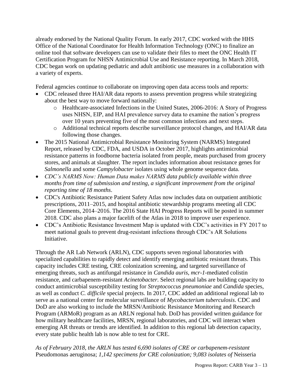already endorsed by the National Quality Forum. In early 2017, CDC worked with the HHS Office of the National Coordinator for Health Information Technology (ONC) to finalize an online tool that software developers can use to validate their files to meet the ONC Health IT Certification Program for NHSN Antimicrobial Use and Resistance reporting. In March 2018, CDC began work on updating pediatric and adult antibiotic use measures in a collaboration with a variety of experts.

Federal agencies continue to collaborate on improving open data access tools and reports:

- CDC released three HAI/AR data reports to assess prevention progress while strategizing about the best way to move forward nationally:
	- o Healthcare-associated Infections in the United States, 2006-2016: A Story of Progress uses NHSN, EIP, and HAI prevalence survey data to examine the nation's progress over 10 years preventing five of the most common infections and next steps.
	- o Additional technical reports describe surveillance protocol changes, and HAI/AR data following those changes.
- The 2015 National Antimicrobial Resistance Monitoring System (NARMS) Integrated Report, released by CDC, FDA, and USDA in October 2017, highlights antimicrobial resistance patterns in foodborne bacteria isolated from people, meats purchased from grocery stores, and animals at slaughter. The report includes information about resistance genes for *Salmonella* and some *Campylobacter* isolates using whole genome sequence data.
- *CDC's NARMS Now: Human Data makes NARMS data publicly available within three months from time of submission and testing, a significant improvement from the original reporting time of 18 months*.
- CDC's Antibiotic Resistance Patient Safety Atlas now includes data on outpatient antibiotic prescriptions, 2011–2015, and hospital antibiotic stewardship programs meeting all CDC Core Elements, 2014–2016. The 2016 State HAI Progress Reports will be posted in summer 2018. CDC also plans a major facelift of the Atlas in 2018 to improve user experience.
- CDC's Antibiotic Resistance Investment Map is updated with CDC's activities in FY 2017 to meet national goals to prevent drug-resistant infections through CDC's AR Solutions Initiative.

Through the AR Lab Network (ARLN), CDC supports seven regional laboratories with specialized capabilities to rapidly detect and identify emerging antibiotic resistant threats. This capacity includes CRE testing, CRE colonization screening, and targeted surveillance of emerging threats, such as antifungal resistance in *Candida auris*, *mcr-1*-mediated colistin resistance, and carbapenem-resistant *Acinetobacter*. Select regional labs are building capacity to conduct antimicrobial susceptibility testing for *Streptococcus pneumoniae* and *Candida* species, as well as conduct *C. difficile* special projects. In 2017, CDC added an additional regional lab to serve as a national center for molecular surveillance of *Mycobacterium tuberculosis*. CDC and DoD are also working to include the MRSN/Antibiotic Resistance Monitoring and Research Program (ARMoR) program as an ARLN regional hub. DoD has provided written guidance for how military healthcare facilities, MRSN, regional laboratories, and CDC will interact when emerging AR threats or trends are identified. In addition to this regional lab detection capacity, every state public health lab is now able to test for CRE.

*As of February 2018, the ARLN has tested 6,690 isolates of CRE or carbapenem-resistant* Pseudomonas aeruginosa; *1,142 specimens for CRE colonization; 9,083 isolates of* Neisseria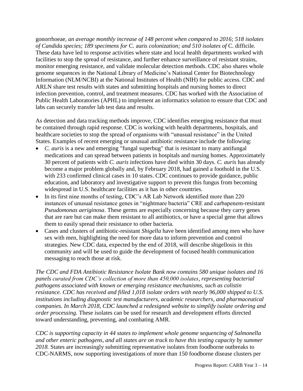gonorrhoeae*, an average monthly increase of 148 percent when compared to 2016; 518 isolates of Candida species; 189 specimens for* C. auris *colonization; and 510 isolates of* C. difficile*.* These data have led to response activities where state and local health departments worked with facilities to stop the spread of resistance, and further enhance surveillance of resistant strains, monitor emerging resistance, and validate molecular detection methods. CDC also shares whole genome sequences in the National Library of Medicine's National Center for Biotechnology Information (NLM/NCBI) at the National Institutes of Health (NIH) for public access. CDC and ARLN share test results with states and submitting hospitals and nursing homes to direct infection prevention, control, and treatment measures. CDC has worked with the Association of Public Health Laboratories (APHL) to implement an informatics solution to ensure that CDC and labs can securely transfer lab test data and results.

As detection and data tracking methods improve, CDC identifies emerging resistance that must be contained through rapid response. CDC is working with health departments, hospitals, and healthcare societies to stop the spread of organisms with "unusual resistance" in the United States. Examples of recent emerging or unusual antibiotic resistance include the following:

- *C. auris* is a new and emerging "fungal superbug" that is resistant to many antifungal medications and can spread between patients in hospitals and nursing homes. Approximately 30 percent of patients with *C. auris* infections have died within 30 days. *C. auris* has already become a major problem globally and, by February 2018, had gained a foothold in the U.S. with 233 confirmed clinical cases in 10 states. CDC continues to provide guidance, public education, and laboratory and investigative support to prevent this fungus from becoming widespread in U.S. healthcare facilities as it has in other countries.
- In its first nine months of testing, CDC's AR Lab Network identified more than 220 instances of unusual resistance genes in "nightmare bacteria" CRE and carbapenem-resistant *Pseudomonas aeriginosa*. These germs are especially concerning because they carry genes that are rare but can make them resistant to all antibiotics, or have a special gene that allows them to easily spread their resistance to other bacteria.
- Cases and clusters of antibiotic-resistant *Shigella* have been identified among men who have sex with men, highlighting the need for more data to inform prevention and control strategies. New CDC data, expected by the end of 2018, will describe shigellosis in this community and will be used to guide the development of focused health communication messaging to reach those at risk.

*The CDC and FDA Antibiotic Resistance Isolate Bank now contains 580 unique isolates and 16 panels curated from CDC's collection of more than 450,000 isolates, representing bacterial pathogens associated with known or emerging resistance mechanisms, such as colistin resistance. CDC has received and filled 1,018 isolate orders with nearly 96,000 shipped to U.S. institutions including diagnostic test manufacturers, academic researchers, and pharmaceutical companies. In March 2018, CDC launched a redesigned website to simplify isolate ordering and order processing.* These isolates can be used for research and development efforts directed toward understanding, preventing, and combating AMR.

*CDC is supporting capacity in 44 states to implement whole genome sequencing of Salmonella and other enteric pathogens, and all states are on track to have this testing capacity by summer 2018.* States are increasingly submitting representative isolates from foodborne outbreaks to CDC-NARMS, now supporting investigations of more than 150 foodborne disease clusters per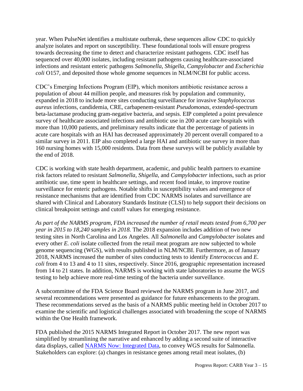year. When PulseNet identifies a multistate outbreak, these sequences allow CDC to quickly analyze isolates and report on susceptibility. These foundational tools will ensure progress towards decreasing the time to detect and characterize resistant pathogens. CDC itself has sequenced over 40,000 isolates, including resistant pathogens causing healthcare-associated infections and resistant enteric pathogens *Salmonella*, *Shigella*, *Campylobacter* and *Escherichia coli* O157, and deposited those whole genome sequences in NLM/NCBI for public access.

CDC's Emerging Infections Program (EIP), which monitors antibiotic resistance across a population of about 44 million people, and measures risk by population and community, expanded in 2018 to include more sites conducting surveillance for invasive *Staphylococcus aureus* infections, candidemia, CRE, carbapenem-resistant *Pseudomonas*, extended-spectrum beta-lactamase producing gram-negative bacteria, and sepsis. EIP completed a point prevalence survey of healthcare associated infections and antibiotic use in 200 acute care hospitals with more than 10,000 patients, and preliminary results indicate that the percentage of patients in acute care hospitals with an HAI has decreased approximately 20 percent overall compared to a similar survey in 2011. EIP also completed a large HAI and antibiotic use survey in more than 160 nursing homes with 15,000 residents. Data from these surveys will be publicly available by the end of 2018.

CDC is working with state health department, academic, and public health partners to examine risk factors related to resistant *Salmonella*, *Shigella*, and *Campylobacter* infections, such as prior antibiotic use, time spent in healthcare settings, and recent food intake, to improve routine surveillance for enteric pathogens. Notable shifts in susceptibility values and emergence of resistance mechanisms that are identified from CDC NARMS isolates and surveillance are shared with Clinical and Laboratory Standards Institute (CLSI) to help support their decisions on clinical breakpoint settings and cutoff values for emerging resistance.

*As part of the NARMS program, FDA increased the number of retail meats tested from 6,700 per year in 2015 to 18,240 samples in 2018.* The 2018 expansion includes addition of two new testing sites in North Carolina and Los Angeles. All *Salmonella* and *Campylobacter* isolates and every other *E. coli* isolate collected from the retail meat program are now subjected to whole genome sequencing (WGS), with results published in NLM/NCBI. Furthermore, as of January 2018, NARMS increased the number of sites conducting tests to identify *Enterococcus* and *E. coli* from 4 to 13 and 4 to 11 sites, respectively. Since 2016, geographic representation increased from 14 to 21 states. In addition, NARMS is working with state laboratories to assume the WGS testing to help achieve more real-time testing of the bacteria under surveillance.

A subcommittee of the FDA Science Board reviewed the NARMS program in June 2017, and several recommendations were presented as guidance for future enhancements to the program. These recommendations served as the basis of a NARMS public meeting held in October 2017 to examine the scientific and logistical challenges associated with broadening the scope of NARMS within the One Health framework.

FDA published the 2015 NARMS Integrated Report in October 2017. The new report was simplified by streamlining the narrative and enhanced by adding a second suite of interactive data displays, called [NARMS Now: Integrated Data,](https://www.cdc.gov/narmsnow/) to convey WGS results for Salmonella. Stakeholders can explore: (a) changes in resistance genes among retail meat isolates, (b)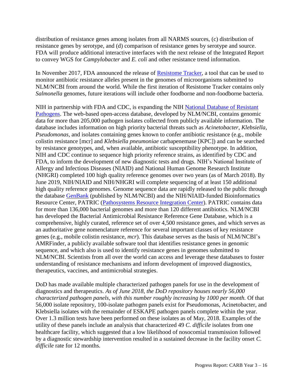distribution of resistance genes among isolates from all NARMS sources, (c) distribution of resistance genes by serotype, and (d) comparison of resistance genes by serotype and source. FDA will produce additional interactive interfaces with the next release of the Integrated Report to convey WGS for *Campylobacter* and *E. coli* and other resistance trend information.

In November 2017, FDA announced the release of **Resistome Tracker**, a tool that can be used to monitor antibiotic resistance alleles present in the genomes of microorganisms submitted to NLM/NCBI from around the world. While the first iteration of Resistome Tracker contains only *Salmonella* genomes, future iterations will include other foodborne and non-foodborne bacteria.

NIH in partnership with FDA and CDC, is expanding the NIH [National Database of Resistant](https://www.ncbi.nlm.nih.gov/pathogens/antimicrobial-resistance/)  [Pathogens.](https://www.ncbi.nlm.nih.gov/pathogens/antimicrobial-resistance/) The web-based open-access database, developed by NLM/NCBI, contains genomic data for more than 205,000 pathogen isolates collected from publicly available information. The database includes information on high priority bacterial threats such as *Acinetobacter*, *Klebsiella*, *Pseudomonas*, and isolates containing genes known to confer antibiotic resistance (e.g., mobile colistin resistance [mcr] and *Klebsiella pneumoniae* carbapenemase [KPC]) and can be searched by resistance genotypes, and, when available, antibiotic susceptibility phenotype*.* In addition, NIH and CDC continue to sequence high priority reference strains, as identified by CDC and FDA, to inform the development of new diagnostic tests and drugs. NIH's National Institute of Allergy and Infectious Diseases (NIAID) and National Human Genome Research Institute (NHGRI) completed 100 high quality reference genomes over two years (as of March 2018). By June 2019, NIH/NIAID and NIH/NHGRI will complete sequencing of at least 150 additional high quality reference genomes. Genome sequence data are rapidly released to the public through the database [GenBank](https://www.ncbi.nlm.nih.gov/genbank/) (published by NLM/NCBI) and the NIH/NIAID-funded Bioinformatics Resource Center, PATRIC [\(Pathosystems Resource Integration Center\)](https://www.patricbrc.org/). PATRIC contains data for more than 136,000 bacterial genomes and more than 120 different antibiotics. NLM/NCBI has developed the Bacterial Antimicrobial Resistance Reference Gene Database, which is a comprehensive, highly curated, reference set of over 4,500 resistance genes, and which serves as an authoritative gene nomenclature reference for several important classes of key resistance genes (e.g., mobile colistin resistance, *mcr*). This database serves as the basis of NLM/NCBI's AMRFinder, a publicly available software tool that identifies resistance genes in genomic sequence, and which also is used to identify resistance genes in genomes submitted to NLM/NCBI. Scientists from all over the world can access and leverage these databases to foster understanding of resistance mechanisms and inform development of improved diagnostics, therapeutics, vaccines, and antimicrobial strategies.

DoD has made available multiple characterized pathogen panels for use in the development of diagnostics and therapeutics. *As of June 2018, the DoD repository houses nearly 56,000 characterized pathogen panels, with this number roughly increasing by 1000 per month.* Of that 56,000 isolate repository, 100-isolate pathogen panels exist for Pseudomonas, Acinetobacter, and Klebsiella isolates with the remainder of ESKAPE pathogen panels complete within the year. Over 1.3 million tests have been performed on these isolates as of May, 2018. Examples of the utility of these panels include an analysis that characterized 49 *C. difficile* isolates from one healthcare facility, which suggested that a low likelihood of nosocomial transmission followed by a diagnostic stewardship intervention resulted in a sustained decrease in the facility onset *C. difficile* rate for 12 months.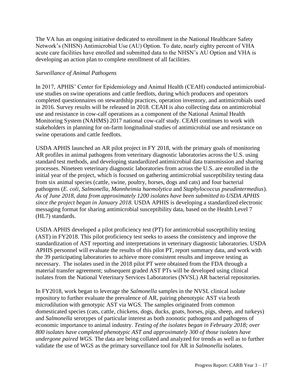The VA has an ongoing initiative dedicated to enrollment in the National Healthcare Safety Network's (NHSN) Antimicrobial Use (AU) Option. To date, nearly eighty percent of VHA acute care facilities have enrolled and submitted data to the NHSN's AU Option and VHA is developing an action plan to complete enrollment of all facilities.

#### *Surveillance of Animal Pathogens*

In 2017, APHIS' Center for Epidemiology and Animal Health (CEAH) conducted antimicrobialuse studies on swine operations and cattle feedlots, during which producers and operators completed questionnaires on stewardship practices, operation inventory, and antimicrobials used in 2016. Survey results will be released in 2018. CEAH is also collecting data on antimicrobial use and resistance in cow-calf operations as a component of the National Animal Health Monitoring System (NAHMS) 2017 national cow-calf study. CEAH continues to work with stakeholders in planning for on-farm longitudinal studies of antimicrobial use and resistance on swine operations and cattle feedlots.

USDA APHIS launched an AR pilot project in FY 2018, with the primary goals of monitoring AR profiles in animal pathogens from veterinary diagnostic laboratories across the U.S. using standard test methods, and developing standardized antimicrobial data transmission and sharing processes. Nineteen veterinary diagnostic laboratories from across the U.S. are enrolled in the initial year of the project, which is focused on gathering antimicrobial susceptibility testing data from six animal species (cattle, swine, poultry, horses, dogs and cats) and four bacterial pathogens (*E. coli, Salmonella, Mannheimia haemolytica* and *Staphylococcus pseudintermedius*). *As of June 2018, data from approximately 1200 isolates have been submitted to USDA APHIS since the project began in January 2018.* USDA APHIS is developing a standardized electronic messaging format for sharing antimicrobial susceptibility data, based on the Health Level 7 (HL7) standards.

USDA APHIS developed a pilot proficiency test (PT) for antimicrobial susceptibility testing (AST) in FY2018. This pilot proficiency test seeks to assess the consistency and improve the standardization of AST reporting and interpretations in veterinary diagnostic laboratories. USDA APHIS personnel will evaluate the results of this pilot PT, report summary data, and work with the 39 participating laboratories to achieve more consistent results and improve testing as necessary. The isolates used in the 2018 pilot PT were obtained from the FDA through a material transfer agreement; subsequent graded AST PTs will be developed using clinical isolates from the National Veterinary Services Laboratories (NVSL) AR bacterial repositories.

In FY2018, work began to leverage the *Salmonella* samples in the NVSL clinical isolate repository to further evaluate the prevalence of AR, pairing phenotypic AST via broth microdilution with genotypic AST via WGS. The samples originated from common domesticated species (cats, cattle, chickens, dogs, ducks, goats, horses, pigs, sheep, and turkeys) and *Salmonella* serotypes of particular interest as both zoonotic pathogens and pathogens of economic importance to animal industry. *Testing of the isolates began in February 2018; over 800 isolates have completed phenotypic AST and approximately 300 of those isolates have undergone paired WGS.* The data are being collated and analyzed for trends as well as to further validate the use of WGS as the primary surveillance tool for AR in *Salmonella* isolates.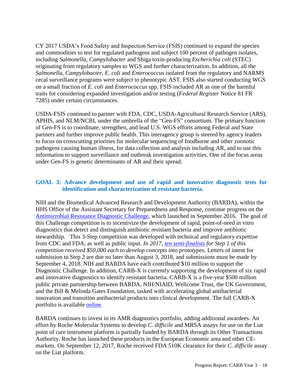CY 2017 USDA's Food Safety and Inspection Service (FSIS) continued to expand the species and commodities to test for regulated pathogens and subject 100 percent of pathogen isolates, including *Salmonella, Campylobacter* and Shiga toxin-producing *Escherichia coli* (STEC) originating from regulatory samples to WGS and further characterization. In addition, all the *Salmonella, Campylobacter, E. coli* and *Enterococcus* isolated from the regulatory and NARMS cecal surveillance programs were subject to phenotypic AST. FSIS also started conducting WGS on a small fraction of *E. coli* and *Enterococcus* spp. FSIS included AR as one of the harmful traits for considering expanded investigation and/or testing (*Federal Register* Notice 81 FR 7285) under certain circumstances.

USDA-FSIS continued to partner with FDA, CDC, USDA-Agricultural Research Service (ARS), APHIS, and NLM/NCBI, under the umbrella of the "Gen-FS" consortium. The primary function of Gen-FS is to coordinate, strengthen, and lead U.S. WGS efforts among Federal and State partners and further improve public health. This interagency group is steered by agency leaders to focus on crosscutting priorities for molecular sequencing of foodborne and other zoonotic pathogens causing human illness, for data collection and analysis including AR, and to use this information to support surveillance and outbreak investigation activities. One of the focus areas under Gen-FS is genetic determinants of AR and their spread.

#### **GOAL 3: Advance development and use of rapid and innovative diagnostic tests for identification and characterization of resistant bacteria.**

NIH and the Biomedical Advanced Research and Development Authority (BARDA), within the HHS Office of the Assistant Secretary for Preparedness and Response, continue progress on the [Antimicrobial Resistance Diagnostic Challenge,](https://www.nih.gov/news-events/news-releases/federal-prize-competition-seeks-innovative-ideas-combat-antimicrobial-resistance) which launched in September 2016. The goal of this Challenge competition is to incentivize the development of rapid, point-of-need in vitro diagnostics that detect and distinguish antibiotic resistant bacteria and improve antibiotic stewardship. This 3-Step competition was developed with technical and regulatory expertise from CDC and FDA, as well as public input. *In 2017, [ten semi-finalists](https://dpcpsi.nih.gov/AMRChallengeSemifinalists) for Step 1 of this competition received \$50,000 each to develop concepts into prototypes.* Letters of intent for submission to Step 2 are due no later than August 3, 2018, and submissions must be made by September 4, 2018. NIH and BARDA have each contributed \$10 million to support the Diagnostic Challenge. In addition, CARB-X is currently supporting the development of six rapid and innovative diagnostics to identify resistant bacteria. CARB-X is a five-year \$500 million public private partnership between BARDA, NIH/NIAID, Wellcome Trust, the UK Government, and the Bill & Melinda Gates Foundation, tasked with accelerating global antibacterial innovation and transition antibacterial products into clinical development. The full CARB-X portfolio is available [online.](https://carb-x.org/portfolio)

BARDA continues to invest in its AMR diagnostics portfolio, adding additional awardees. An effort by Roche Molecular Systems to develop *C. difficile* and MRSA assays for use on the Liat point of care instrument platform is partially funded by BARDA through its Other Transactions Authority. Roche has launched these products in the European Economic area and other CEmarkets. On September 12, 2017, Roche received FDA 510K clearance for their *C. difficile* assay on the Liat platform.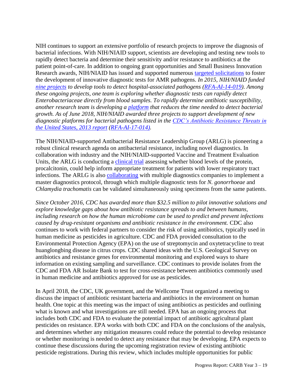NIH continues to support an extensive portfolio of research projects to improve the diagnosis of bacterial infections. With NIH/NIAID support, scientists are developing and testing new tools to rapidly detect bacteria and determine their sensitivity and/or resistance to antibiotics at the patient point-of-care. In addition to ongoing grant opportunities and Small Business Innovation Research awards, NIH/NIAID has issued and supported numerous [targeted solicitations](https://www.niaid.nih.gov/research/recent-initiatives-antimicrobial-resistance) to foster the development of innovative diagnostic tests for AMR pathogens. *In 2015, NIH/NIAID funded [nine projects](https://www.niaid.nih.gov/news-events/nih-funds-nine-antimicrobial-resistance-diagnostics-projects) to develop tools to detect hospital-associated pathogens [\(RFA-AI-14-019\)](https://grants.nih.gov/grants/guide/rfa-files/RFA-AI-14-019.html). Among these ongoing projects, one team is exploring whether diagnostic tests can rapidly detect Enterobacteriaceae directly from blood samples. To rapidly determine antibiotic susceptibility, another research team is developing a [platform](https://www.ncbi.nlm.nih.gov/pubmed/28609716) that reduces the time needed to detect bacterial growth. As of June 2018, NIH/NIAID awarded three projects to support development of new diagnostic platforms for bacterial pathogens listed in the [CDC's Antibiotic Resistance Threats in](https://www.cdc.gov/drugresistance/threat-report-2013/index.html)  [the United States, 2013 report](https://www.cdc.gov/drugresistance/threat-report-2013/index.html) [\(RFA-AI-17-014\)](https://grants.nih.gov/grants/guide/rfa-files/RFA-AI-17-014.html).* 

The NIH/NIAID-supported Antibacterial Resistance Leadership Group (ARLG) is pioneering a robust clinical research agenda on antibacterial resistance, including novel diagnostics. In collaboration with industry and the NIH/NIAID-supported Vaccine and Treatment Evaluation Units, the ARLG is conducting a *clinical trial* assessing whether blood levels of the protein, procalcitonin, could help inform appropriate treatment for patients with lower respiratory tract infections. The ARLG is also [collaborating](https://clinicaltrials.gov/ct2/show/NCT02870101) with multiple diagnostics companies to implement a master diagnostics protocol, through which multiple diagnostic tests for *N. gonorrhoeae* and *Chlamydia trachomatis* can be validated simultaneously using specimens from the same patients.

*Since October 2016, CDC has awarded more than \$32.5 million to pilot innovative solutions and explore knowledge gaps about how antibiotic resistance spreads to and between humans, including research on how the human microbiome can be used to predict and prevent infections caused by drug-resistant organisms and antibiotic resistance in the environment.* CDC also continues to work with federal partners to consider the risk of using antibiotics, typically used in human medicine as pesticides in agriculture. CDC and FDA provided consultation to the Environmental Protection Agency (EPA) on the use of streptomycin and oxytetracycline to treat huanglongbing disease in citrus crops. CDC shared ideas with the U.S. Geological Survey on antibiotics and resistance genes for environmental monitoring and explored ways to share information on existing sampling and surveillance. CDC continues to provide isolates from the CDC and FDA AR Isolate Bank to test for cross-resistance between antibiotics commonly used in human medicine and antibiotics approved for use as pesticides.

In April 2018, the CDC, UK government, and the Wellcome Trust organized a meeting to discuss the impact of antibiotic resistant bacteria and antibiotics in the environment on human health. One topic at this meeting was the impact of using antibiotics as pesticides and outlining what is known and what investigations are still needed. EPA has an ongoing process that includes both CDC and FDA to evaluate the potential impact of antibiotic agricultural plant pesticides on resistance. EPA works with both CDC and FDA on the conclusions of the analysis, and determines whether any mitigation measures could reduce the potential to develop resistance or whether monitoring is needed to detect any resistance that may be developing. EPA expects to continue these discussions during the upcoming registration review of existing antibiotic pesticide registrations. During this review, which includes multiple opportunities for public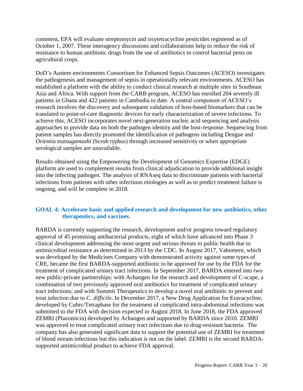comment, EPA will evaluate streptomycin and oxytetracycline pesticides registered as of October 1, 2007. These interagency discussions and collaborations help to reduce the risk of resistance to human antibiotic drugs from the use of antibiotics to control bacterial pests on agricultural crops.

DoD's Austere environments Consortium for Enhanced Sepsis Outcomes (ACESO) investigates the pathogenesis and management of sepsis in operationally relevant environments. ACESO has established a platform with the ability to conduct clinical research at multiple sites in Southeast Asia and Africa. With support from the CARB program, ACESO has enrolled 204 severely ill patients in Ghana and 422 patients in Cambodia to date. A central component of ACESO's research involves the discovery and subsequent validation of host-based biomarkers that can be translated to point-of-care diagnostic devices for early characterization of severe infections. To achieve this, ACESO incorporates novel next-generation nucleic acid sequencing and analysis approaches to provide data on both the pathogen identity and the host-response. Sequencing from patient samples has directly promoted the identification of pathogens including Dengue and *Orientia tsutsugamushi* (Scrub typhus) through increased sensitivity or when appropriate serological samples are unavailable.

Results obtained using the Empowering the Development of Genomics Expertise (EDGE) platform are used to complement results from clinical adjudication to provide additional insight into the infecting pathogen. The analysis of RNAseq data to discriminate patients with bacterial infections from patients with other infectious etiologies as well as to predict treatment failure is ongoing, and will be complete in 2018.

#### **GOAL 4: Accelerate basic and applied research and development for new antibiotics, other therapeutics, and vaccines.**

BARDA is currently supporting the research, development and/or progress toward regulatory approval of 45 promising antibacterial products, eight of which have advanced into Phase 3 clinical development addressing the most urgent and serious threats to public health due to antimicrobial resistance as determined in 2013 by the CDC. In August 2017, Vabomere, which was developed by the Medicines Company with demonstrated activity against some types of CRE, became the first BARDA-supported antibiotic to be approved for use by the FDA for the treatment of complicated urinary tract infections. In September 2017, BARDA entered into two new public-private partnerships: with Achaogen for the research and development of C-scape, a combination of two previously approved oral antibiotics for treatment of complicated urinary tract infections; and with Summit Therapeutics to develop a novel oral antibiotic to prevent and treat infection due to *C. difficile*. In December 2017, a New Drug Application for Eravacycline, developed by Cubrc/Tetraphase for the treatment of complicated intra-abdominal infections was submitted to the FDA with decision expected in August 2018. In June 2018, the FDA approved ZEMRI (Plazomicin) developed by Achaogen and supported by BARDA since 2010. ZEMRI was approved to treat complicated urinary tract infections due to drug-resistant bacteria. The company has also generated significant data to support the potential use of ZEMRI for treatment of blood stream infections but this indication is not on the label. ZEMRI is the second BARDAsupported antimicrobial product to achieve FDA approval.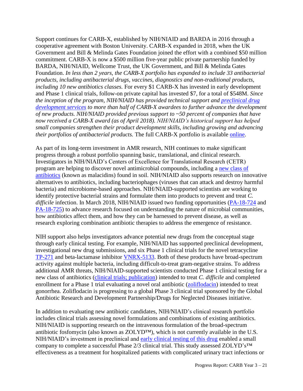Support continues for CARB-X, established by NIH/NIAID and BARDA in 2016 through a cooperative agreement with Boston University. CARB-X expanded in 2018, when the UK Government and Bill & Melinda Gates Foundation joined the effort with a combined \$50 million commitment. CARB-X is now a \$500 million five-year public private partnership funded by BARDA, NIH/NIAID, Wellcome Trust, the UK Government, and Bill & Melinda Gates Foundation. *In less than 2 years, the CARB-X portfolio has expanded to include 33 antibacterial products, including antibacterial drugs, vaccines, diagnostics and non-traditional products, including 10 new antibiotics classes.* For every \$1 CARB-X has invested in early development and Phase 1 clinical trials, follow-on private capital has invested \$7, for a total of \$548M. *Since the inception of the program, NIH/NIAID has provided technical support and [preclinical drug](https://www.niaid.nih.gov/research/resources?f%5B0%5D=field_disease%3A53&f%5B1%5D=field_research_stage%3A264&f%5B2%5D=field_division%3A12)  [development services](https://www.niaid.nih.gov/research/resources?f%5B0%5D=field_disease%3A53&f%5B1%5D=field_research_stage%3A264&f%5B2%5D=field_division%3A12) to more than half of CARB-X awardees to further advance the development of new products. NIH/NIAID provided previous support to ~50 percent of companies that have now received a CARB-X award (as of April 2018). NIH/NIAID's historical support has helped small companies strengthen their product development skills, including growing and advancing their portfolios of antibacterial products.* The full CARB-X portfolio is available [online.](https://carb-x.org/portfolio)

As part of its long-term investment in AMR research, NIH continues to make significant progress through a robust portfolio spanning basic, translational, and clinical research. Investigators in NIH/NIAID's Centers of Excellence for Translational Research (CETR) program are helping to discover novel antimicrobial compounds, including a [new class of](https://www.ncbi.nlm.nih.gov/pubmed/29434326)  [antibiotics](https://www.ncbi.nlm.nih.gov/pubmed/29434326) (known as malacidins) found in soil. NIH/NIAID also supports research on innovative alternatives to antibiotics, including bacteriophages (viruses that can attack and destroy harmful bacteria) and microbiome-based approaches. NIH/NIAID-supported scientists are working to identify protective bacterial strains and formulate them into products to prevent and treat *C. difficile* infection. In March 2018, NIH/NIAID issued two funding opportunities [\(PA-18-724](https://grants.nih.gov/grants/guide/pa-files/PA-18-724.html) and [PA-18-725\)](https://grants.nih.gov/grants/guide/pa-files/PA-18-725.html) to advance research focused on understanding the nature of microbial communities, how antibiotics affect them, and how they can be harnessed to prevent disease, as well as research exploring combination antibiotic therapies to address the emergence of resistance.

NIH support also helps investigators advance potential new drugs from the conceptual stage through early clinical testing. For example, NIH/NIAID has supported preclinical development, investigational new drug submissions, and six Phase 1 clinical trials for the novel tetracycline [TP-271](https://www.clinicaltrials.gov/ct2/results?cond=&term=NCT03450187+OR+NCT03234738+OR+NCT03024034+OR+NCT02724085) and beta-lactamase inhibitor [VNRX-5133.](https://www.clinicaltrials.gov/ct2/results?cond=&term=NCT02955459+OR+NCT03332732) Both of these products have broad-spectrum activity against multiple bacteria, including difficult-to-treat gram-negative strains. To address additional AMR threats, NIH/NIAID-supported scientists conducted Phase 1 clinical testing for a new class of antibiotics [\(clinical](https://www.clinicaltrials.gov/ct2/results?cond=&term=NCT02106338+OR+NCT01551004) trials; [publication\)](https://www.ncbi.nlm.nih.gov/pubmed/?term=28584140) intended to treat *C. difficile* and completed enrollment for a Phase 1 trial evaluating a novel oral antibiotic (*zoliflodacin*) intended to treat gonorrhea. Zoliflodacin is progressing to a global Phase 3 clinical trial sponsored by the Global Antibiotic Research and Development Partnership/Drugs for Neglected Diseases initiative.

In addition to evaluating new antibiotic candidates, NIH/NIAID's clinical research portfolio includes clinical trials assessing novel formulations and combinations of existing antibiotics. NIH/NIAID is supporting research on the intravenous formulation of the broad-spectrum antibiotic fosfomycin (also known as ZOLYD™), which is not currently available in the U.S. NIH/NIAID's investment in preclinical and [early clinical testing of this drug](https://www.ncbi.nlm.nih.gov/pubmed/?term=28630194) enabled a small company to complete a successful Phase 2/3 clinical trial. This study assessed ZOLYD's™ effectiveness as a treatment for hospitalized patients with complicated urinary tract infections or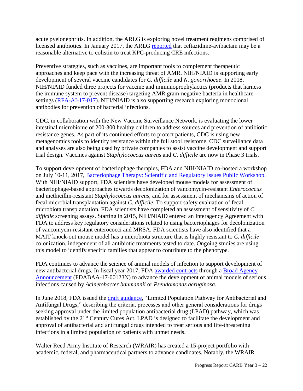acute pyelonephritis. In addition, the ARLG is exploring novel treatment regimens comprised of licensed antibiotics. In January 2017, the ARLG [reported](https://www.ncbi.nlm.nih.gov/pubmed/29020404) that ceftazidime-avibactam may be a reasonable alternative to colistin to treat KPC-producing CRE infections.

Preventive strategies, such as vaccines, are important tools to complement therapeutic approaches and keep pace with the increasing threat of AMR. NIH/NIAID is supporting early development of several vaccine candidates for *C. difficile* and *N. gonorrhoeae*. In 2018, NIH/NIAID funded three projects for vaccine and immunoprophylactics (products that harness the immune system to prevent disease) targeting AMR gram-negative bacteria in healthcare settings [\(RFA-AI-17-017\)](https://grants.nih.gov/grants/guide/rfa-files/RFA-AI-17-017.html). NIH/NIAID is also supporting research exploring monoclonal antibodies for prevention of bacterial infections.

CDC, in collaboration with the New Vaccine Surveillance Network, is evaluating the lower intestinal microbiome of 200-300 healthy children to address sources and prevention of antibiotic resistance genes. As part of its continued efforts to protect patients, CDC is using new metagenomics tools to identify resistance within the full stool resistome. CDC surveillance data and analyses are also being used by private companies to assist vaccine development and support trial design. Vaccines against *Staphylococcus aureus* and *C. difficile* are now in Phase 3 trials.

To support development of bacteriophage therapies, FDA and NIH/NIAID co-hosted a workshop on July 10-11, 2017, [Bacteriophage Therapy: Scientific and Regulatory Issues Public Workshop.](https://www.fda.gov/BiologicsBloodVaccines/NewsEvents/WorkshopsMeetingsConferences/ucm544294.htm) With NIH/NIAID support, FDA scientists have developed mouse models for assessment of bacteriophage-based approaches towards decolonization of vancomycin-resistant *Enterococcus* and methicillin-resistant *Staphylococcus aureus*, and for assessment of mechanisms of action of fecal microbial transplantation against *C. difficile*. To support safety evaluation of fecal microbiota transplantation, FDA scientists have completed an assessment of sensitivity of *C. difficile* screening assays. Starting in 2015, NIH/NIAID entered an Interagency Agreement with FDA to address key regulatory considerations related to using bacteriophages for decolonization of vancomycin-resistant enterococci and MRSA. FDA scientists have also identified that a MAIT knock-out mouse model has a microbiota structure that is highly resistant to *C. difficile* colonization, independent of all antibiotic treatments tested to date. Ongoing studies are using this model to identify specific families that appear to contribute to the phenotype.

FDA continues to advance the science of animal models of infection to support development of new antibacterial drugs. In fiscal year 2017, FDA [awarded contracts](https://www.fda.gov/downloads/AboutFDA/CentersOffices/OfficeofMedicalProductsandTobacco/CDER/UCM579989.pdf) through a [Broad Agency](file:///C:/Users/SCHUMANNK/AppData/Local/Microsoft/Windows/Temporary%20Internet%20Files/Content.Outlook/CD8TTR3B/through%20a%20Broad%20Agency%20Announcement)  [Announcement](file:///C:/Users/SCHUMANNK/AppData/Local/Microsoft/Windows/Temporary%20Internet%20Files/Content.Outlook/CD8TTR3B/through%20a%20Broad%20Agency%20Announcement) (FDABAA-17-00123N) to advance the development of animal models of serious infections caused by *Acinetobacter baumannii* or *Pseudomonas aeruginosa*.

In June 2018, FDA issued the draft [guidance,](https://www.fda.gov/downloads/Drugs/GuidanceComplianceRegulatoryInformation/Guidances/UCM610498.pdf) "Limited Population Pathway for Antibacterial and Antifungal Drugs," describing the criteria, processes and other general considerations for drugs seeking approval under the limited population antibacterial drug (LPAD) pathway, which was established by the 21st Century Cures Act. LPAD is designed to facilitate the development and approval of antibacterial and antifungal drugs intended to treat serious and life-threatening infections in a limited population of patients with unmet needs.

Walter Reed Army Institute of Research (WRAIR) has created a 15-project portfolio with academic, federal, and pharmaceutical partners to advance candidates. Notably, the WRAIR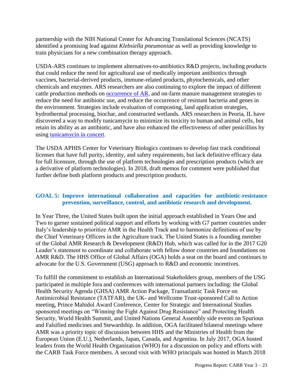partnership with the NIH National Center for Advancing Translational Sciences (NCATS) identified a promising lead against *Klebsiella pneumoniae* as well as providing knowledge to train physicians for a new combination therapy approach.

USDA-ARS continues to implement alternatives-to-antibiotics R&D projects, including products that could reduce the need for agricultural use of medically important antibiotics through vaccines, bacterial-derived products, immune-related products, phytochemicals, and other chemicals and enzymes. ARS researchers are also continuing to explore the impact of different cattle production methods on [occurrence of AR,](http://aem.asm.org/content/early/2017/09/04/AEM.01682-17.abstract) and on-farm manure management strategies to reduce the need for antibiotic use, and reduce the occurrence of resistant bacteria and genes in the environment. Strategies include evaluation of composting, land application strategies, hydrothermal processing, biochar, and constructed wetlands. ARS researchers in Peoria, IL have discovered a way to modify tunicamycin to minimize its toxicity to human and animal cells, but retain its ability as an antibiotic, and have also enhanced the effectiveness of other penicillins by using [tunicamycin in concert.](https://www.nature.com/articles/ja2017101)

The USDA APHIS Center for Veterinary Biologics continues to develop fast track conditional licenses that have full purity, identity, and safety requirements, but lack definitive efficacy data for full licensure, through the use of platform technologies and prescription products (which are a derivative of platform technologies). In 2018, draft memos for comment were published that further define both platform products and prescription products.

#### **GOAL 5: Improve international collaboration and capacities for antibiotic-resistance prevention, surveillance, control, and antibiotic research and development.**

In Year Three, the United States built upon the initial approach established in Years One and Two to garner sustained political support and efforts by working with G7 partner countries under Italy's leadership to prioritize AMR in the Health Track and to harmonize definitions of use by the Chief Veterinary Officers in the Agriculture track. The United States is a founding member of the Global AMR Research & Development (R&D) Hub, which was called for in the 2017 G20 Leader's statement to coordinate and collaborate with fellow donor countries and foundations on AMR R&D. The HHS Office of Global Affairs (OGA) holds a seat on the board and continues to advocate for the U.S. Government (USG) approach to R&D and economic incentives.

To fulfill the commitment to establish an International Stakeholders group, members of the USG participated in multiple fora and conferences with international partners including: the Global Health Security Agenda (GHSA) AMR Action Package, Transatlantic Task Force on Antimicrobial Resistance (TATFAR), the UK- and Wellcome Trust-sponsored Call to Action meeting, Prince Mahidol Award Conference, Center for Strategic and International Studies sponsored meetings on "Winning the Fight Against Drug Resistance" and Protecting Health Security, World Health Summit, and United Nations General Assembly side events on Spurious and Falsified medicines and Stewardship. In addition, OGA facilitated bilateral meetings where AMR was a priority topic of discussion between HHS and the Ministries of Health from the European Union (E.U.), Netherlands, Japan, Canada, and Argentina. In July 2017, OGA hosted leaders from the World Health Organization (WHO) for a discussion on policy and efforts with the CARB Task Force members. A second visit with WHO principals was hosted in March 2018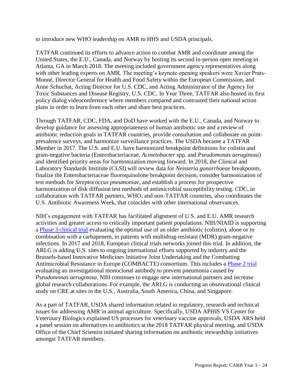to introduce new WHO leadership on AMR to HHS and USDA principals.

TATFAR continued its efforts to advance action to combat AMR and coordinate among the United States, the E.U., Canada, and Norway by hosting its second in-person open meeting in Atlanta, GA in March 2018. The meeting included government agency representatives along with other leading experts on AMR. The meeting's keynote opening speakers were Xavier Prats-Monné, Director General for Health and Food Safety within the European Commission, and Anne Schuchat, Acting Director for U.S. CDC, and Acting Administrator of the Agency for Toxic Substances and Disease Registry, U.S. CDC. In Year Three, TATFAR also hosted its first policy dialog videoconference where members compared and contrasted their national action plans in order to learn from each other and share best practices.

Through TATFAR, CDC, FDA, and DoD have worked with the E.U., Canada, and Norway to develop guidance for assessing appropriateness of human antibiotic use and a review of antibiotic reduction goals in TATFAR countries, provide consultation and collaborate on pointprevalence surveys, and harmonize surveillance practices. The USDA became a TATFAR Member in 2017. The U.S. and E.U. have harmonized breakpoint definitions for colistin and gram-negative bacteria (Enterobacteriaceae, *Acinetobacter* spp. and *Pseudomonas aeruginosa*) and identified priority areas for harmonization moving forward. In 2018, the Clinical and Laboratory Standards Institute (CLSI) will review data for *Neisseria gonorrhoeae* breakpoints, finalize the Enterobacteriaceae fluoroquinolone breakpoint decision, consider harmonization of test methods for *Streptococcus pneumoniae*, and establish a process for prospective harmonization of disk diffusion test methods of antimicrobial susceptibility testing. CDC, in collaboration with TATFAR partners, WHO, and non-TATFAR countries, also coordinates the U.S. Antibiotic Awareness Week, that coincides with other international observances.

NIH's engagement with TATFAR has facilitated alignment of U.S. and E.U. AMR research activities and greater access to critically important patient populations. NIH/NIAID is supporting a [Phase 3 clinical trial](https://clinicaltrials.gov/ct2/show/NCT01597973?term=NCT01597973) evaluating the optimal use of an older antibiotic (colistin), alone or in combination with a carbapenem, in patients with multidrug-resistant (MDR) gram-negative infections. In 2017 and 2018, European clinical trials networks joined this trial. In addition, the ARLG is adding U.S. sites to ongoing international efforts supported by industry and the Brussels-based Innovative Medicines Initiative Joint Undertaking and the Combatting Antimicrobial Resistance in Europe (COMBACTE) consortium. This includes a [Phase 2 trial](https://www.clinicaltrials.gov/ct2/show/NCT02696902) evaluating an investigational monoclonal antibody to prevent pneumonia caused by *Pseudomonas aeruginosa*. NIH continues to engage new international partners and increase global research collaborations. For example, the ARLG is conducting an observational clinical study on CRE at sites in the U.S., Australia, South America, China, and Singapore.

As a part of TATFAR, USDA shared information related to regulatory, research and technical issues for addressing AMR in animal agriculture. Specifically, USDA APHIS VS Center for Veterinary Biologics explained US processes for veterinary vaccine approvals, USDA ARS held a panel session on alternatives to antibiotics at the 2018 TATFAR physical meeting, and USDA Office of the Chief Scientist initiated sharing information on antibiotic stewardship initiatives amongst TATFAR members.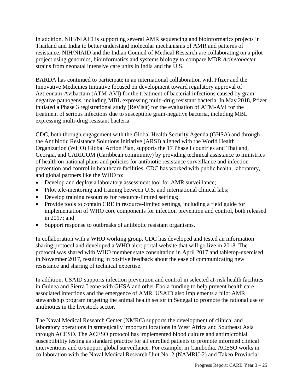In addition, NIH/NIAID is supporting several AMR sequencing and bioinformatics projects in Thailand and India to better understand molecular mechanisms of AMR and patterns of resistance. NIH/NIAID and the Indian Council of Medical Research are collaborating on a pilot project using genomics, bioinformatics and systems biology to compare MDR *Acinetobacter* strains from neonatal intensive care units in India and the U.S.

BARDA has continued to participate in an international collaboration with Pfizer and the Innovative Medicines Initiative focused on development toward regulatory approval of Aztreonam-Avibactam (ATM-AVI) for the treatment of bacterial infections caused by gramnegative pathogens, including MBL expressing multi-drug resistant bacteria. In May 2018, Pfizer initiated a Phase 3 registrational study (ReVisit) for the evaluation of ATM-AVI for the treatment of serious infections due to susceptible gram-negative bacteria, including MBL expressing multi-drug resistant bacteria.

CDC, both through engagement with the Global Health Security Agenda (GHSA) and through the Antibiotic Resistance Solutions Initiative (ARSI) aligned with the World Health Organization (WHO) Global Action Plan, supports the 17 Phase I countries and Thailand, Georgia, and CARICOM (Caribbean community) by providing technical assistance to ministries of health on national plans and policies for antibiotic resistance surveillance and infection prevention and control in healthcare facilities. CDC has worked with public health, laboratory, and global partners like the WHO to:

- Develop and deploy a laboratory assessment tool for AMR surveillance;
- Pilot tele-mentoring and training between U.S. and international clinical labs;
- Develop training resources for resource-limited settings;
- Provide tools to contain CRE in resource-limited settings, including a field guide for implementation of WHO core components for infection prevention and control, both released in 2017; and
- Support response to outbreaks of antibiotic resistant organisms.

In collaboration with a WHO working group, CDC has developed and tested an information sharing protocol and developed a WHO alert portal website that will go live in 2018. The protocol was shared with WHO member state consultation in April 2017 and tabletop-exercised in November 2017, resulting in positive feedback about the ease of communicating new resistance and sharing of technical expertise.

In addition, USAID supports infection prevention and control in selected at-risk health facilities in Guinea and Sierra Leone with GHSA and other Ebola funding to help prevent health care associated infections and the emergence of AMR. USAID also implements a pilot AMR stewardship program targeting the animal health sector in Senegal to promote the rational use of antibiotics in the livestock sector.

The Naval Medical Research Center (NMRC) supports the development of clinical and laboratory operations in strategically important locations in West Africa and Southeast Asia through ACESO. The ACESO protocol has implemented blood culture and antimicrobial susceptibility testing as standard practice for all enrolled patients to promote informed clinical interventions and to support global surveillance. For example, in Cambodia, ACESO works in collaboration with the Naval Medical Research Unit No. 2 (NAMRU-2) and Takeo Provincial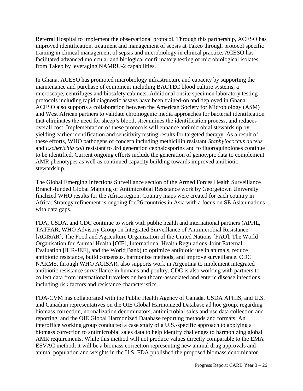Referral Hospital to implement the observational protocol. Through this partnership, ACESO has improved identification, treatment and management of sepsis at Takeo through protocol specific training in clinical management of sepsis and microbiology in clinical practice. ACESO has facilitated advanced molecular and biological confirmatory testing of microbiological isolates from Takeo by leveraging NAMRU-2 capabilities.

In Ghana, ACESO has promoted microbiology infrastructure and capacity by supporting the maintenance and purchase of equipment including BACTEC blood culture systems, a microscope, centrifuges and biosafety cabinets. Additional onsite specimen laboratory testing protocols including rapid diagnostic assays have been trained-on and deployed in Ghana. ACESO also supports a collaboration between the American Society for Microbiology (ASM) and West African partners to validate chromogenic media approaches for bacterial identification that eliminates the need for sheep's blood, streamlines the identification process, and reduces overall cost. Implementation of these protocols will enhance antimicrobial stewardship by yielding earlier identification and sensitivity testing results for targeted therapy. As a result of these efforts, WHO pathogens of concern including methicillin resistant *Staphylococcus aureus* and *Escherichia coli* resistant to 3rd generation cephalosporins and to fluoroquinolones continue to be identified. Current ongoing efforts include the generation of genotypic data to complement AMR phenotypes as well as continued capacity building towards improved antibiotic stewardship.

The Global Emerging Infections Surveillance section of the Armed Forces Health Surveillance Branch-funded Global Mapping of Antimicrobial Resistance work by Georgetown University finalized WHO results for the Africa region. Country maps were created for each country in Africa. Strategy refinement is ongoing for 26 countries in Asia with a focus on SE Asian nations with data gaps.

FDA, USDA, and CDC continue to work with public health and international partners (APHL, TATFAR, WHO Advisory Group on Integrated Surveillance of Antimicrobial Resistance [AGISAR], The Food and Agriculture Organization of the United Nations [FAO], The World Organisation for Animal Health [OIE], International Health Regulations-Joint External Evaluation [IHR-JEE], and the World Bank) to optimize antibiotic use in animals, reduce antibiotic resistance, build consensus, harmonize methods, and improve surveillance. CDC NARMS, through WHO AGISAR, also supports work in Argentina to implement integrated antibiotic resistance surveillance in humans and poultry. CDC is also working with partners to collect data from international travelers on healthcare-associated and enteric disease infections, including risk factors and resistance characteristics.

FDA-CVM has collaborated with the Public Health Agency of Canada, USDA APHIS, and U.S. and Canadian representatives on the OIE Global Harmonized Database ad hoc group, regarding biomass correction, normalization denominators, antimicrobial sales and use data collection and reporting, and the OIE Global Harmonized Database reporting methods and formats. An interoffice working group conducted a case study of a U.S.-specific approach to applying a biomass correction to antimicrobial sales data to help identify challenges to harmonizing global AMR requirements. While this method will not produce values directly comparable to the EMA ESVAC method, it will be a biomass correction representing new animal drug approvals and animal population and weights in the U.S. FDA published the proposed biomass denominator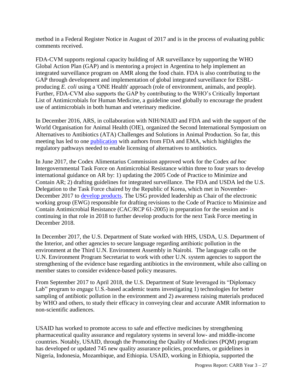method in a Federal Register Notice in August of 2017 and is in the process of evaluating public comments received.

FDA-CVM supports regional capacity building of AR surveillance by supporting the WHO Global Action Plan (GAP) and is mentoring a project in Argentina to help implement an integrated surveillance program on AMR along the food chain. FDA is also contributing to the GAP through development and implementation of global integrated surveillance for ESBLproducing *E. coli* using a 'ONE Health' approach (role of environment, animals, and people). Further, FDA-CVM also supports the GAP by contributing to the WHO's Critically Important List of Antimicrobials for Human Medicine, a guideline used globally to encourage the prudent use of antimicrobials in both human and veterinary medicine.

In December 2016, ARS, in collaboration with NIH/NIAID and FDA and with the support of the World Organisation for Animal Health (OIE), organized the Second International Symposium on Alternatives to Antibiotics (ATA) Challenges and Solutions in Animal Production. So far, this meeting has led to one [publication](https://www.ncbi.nlm.nih.gov/pubmed/29610042) with authors from FDA and EMA, which highlights the regulatory pathways needed to enable licensing of alternatives to antibiotics.

In June 2017, the Codex Alimentarius Commission approved work for the Codex *ad hoc*  Intergovernmental Task Force on Antimicrobial Resistance within three to four years to develop international guidance on AR by: 1) updating the 2005 Code of Practice to Minimize and Contain AR; 2) drafting guidelines for integrated surveillance. The FDA and USDA led the U.S. Delegation to the Task Force chaired by the Republic of Korea, which met in November-December 2017 to [develop products.](https://www.fsis.usda.gov/wps/portal/fsis/topics/international-affairs/us-codex-alimentarius/recent-delegation-reports/2017/delegate-report-5th-session-tfamr) The USG provided leadership as Chair of the electronic working group (EWG) responsible for drafting revisions to the Code of Practice to Minimize and Contain Antimicrobial Resistance (CAC/RCP 61-2005) in preparation for the session and is continuing in that role in 2018 to further develop products for the next Task Force meeting in December 2018.

In December 2017, the U.S. Department of State worked with HHS, USDA, U.S. Department of the Interior, and other agencies to secure language regarding antibiotic pollution in the environment at the Third U.N. Environment Assembly in Nairobi. The language calls on the U.N. Environment Program Secretariat to work with other U.N. system agencies to support the strengthening of the evidence base regarding antibiotics in the environment, while also calling on member states to consider evidence-based policy measures.

From September 2017 to April 2018, the U.S. Department of State leveraged its "Diplomacy Lab" program to engage U.S.-based academic teams investigating 1) technologies for better sampling of antibiotic pollution in the environment and 2) awareness raising materials produced by WHO and others, to study their efficacy in conveying clear and accurate AMR information to non-scientific audiences.

USAID has worked to promote access to safe and effective medicines by strengthening pharmaceutical quality assurance and regulatory systems in several low- and middle-income countries. Notably, USAID, through the Promoting the Quality of Medicines (PQM) program has developed or updated 745 new quality assurance policies, procedures, or guidelines in Nigeria, Indonesia, Mozambique, and Ethiopia. USAID, working in Ethiopia, supported the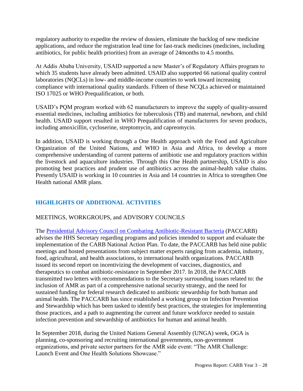regulatory authority to expedite the review of dossiers, eliminate the backlog of new medicine applications, and reduce the registration lead time for fast-track medicines (medicines, including antibiotics, for public health priorities) from an average of 24months to 4.5 months.

At Addis Ababa University, USAID supported a new Master's of Regulatory Affairs program to which 35 students have already been admitted. USAID also supported 66 national quality control laboratories (NQCLs) in low- and middle-income countries to work toward increasing compliance with international quality standards. Fifteen of these NCQLs achieved or maintained ISO 17025 or WHO Prequalification, or both.

USAID's PQM program worked with 62 manufacturers to improve the supply of quality-assured essential medicines, including antibiotics for tuberculosis (TB) and maternal, newborn, and child health. USAID support resulted in WHO Prequalification of manufacturers for seven products, including amoxicillin, cycloserine, streptomycin, and capreomycin.

In addition, USAID is working through a One Health approach with the Food and Agriculture Organization of the United Nations, and WHO in Asia and Africa, to develop a more comprehensive understanding of current patterns of antibiotic use and regulatory practices within the livestock and aquaculture industries. Through this One Health partnership, USAID is also promoting best practices and prudent use of antibiotics across the animal-health value chains. Presently USAID is working in 10 countries in Asia and 14 countries in Africa to strengthen One Health national AMR plans.

#### **HIGHLIGHTS OF ADDITIONAL ACTIVITIES**

#### MEETINGS, WORKGROUPS, and ADVISORY COUNCILS

The [Presidential Advisory Council on Combating Antibiotic-Resistant Bacteria](https://www.hhs.gov/ash/advisory-committees/paccarb/index.html) (PACCARB) advises the HHS Secretary regarding programs and policies intended to support and evaluate the implementation of the CARB National Action Plan. To date, the PACCARB has held nine public meetings and hosted presentations from subject matter experts ranging from academia, industry, food, agricultural, and health associations, to international health organizations. PACCARB issued its second report on incentivizing the development of vaccines, diagnostics, and therapeutics to combat antibiotic-resistance in September 2017. In 2018, the PACCARB transmitted two letters with recommendations to the Secretary surrounding issues related to: the inclusion of AMR as part of a comprehensive national security strategy, and the need for sustained funding for federal research dedicated to antibiotic stewardship for both human and animal health. The PACCARB has since established a working group on Infection Prevention and Stewardship which has been tasked to identify best practices, the strategies for implementing those practices, and a path to augmenting the current and future workforce needed to sustain infection prevention and stewardship of antibiotics for human and animal health.

In September 2018, during the United Nations General Assembly (UNGA) week, OGA is planning, co-sponsoring and recruiting international governments, non-government organizations, and private sector partners for the AMR side event: "The AMR Challenge: Launch Event and One Health Solutions Showcase."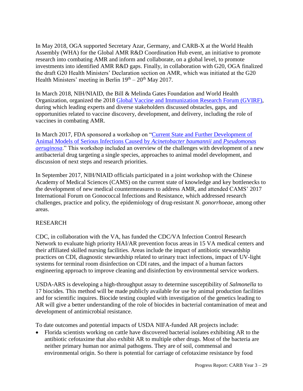In May 2018, OGA supported Secretary Azar, Germany, and CARB-X at the World Health Assembly (WHA) for the Global AMR R&D Coordination Hub event, an initiative to promote research into combating AMR and inform and collaborate, on a global level, to promote investments into identified AMR R&D gaps. Finally, in collaboration with G20, OGA finalized the draft G20 Health Ministers' Declaration section on AMR, which was initiated at the G20 Health Ministers' meeting in Berlin  $19<sup>th</sup> - 20<sup>th</sup>$  May 2017.

In March 2018, NIH/NIAID, the Bill & Melinda Gates Foundation and World Health Organization, organized the 2018 [Global Vaccine and Immunization](http://www.who.int/immunization/research/forums_and_initiatives/gvirf/en/) Research Forum (GVIRF), during which leading experts and diverse stakeholders discussed obstacles, gaps, and opportunities related to vaccine discovery, development, and delivery, including the role of vaccines in combating AMR.

In March 2017, FDA sponsored a workshop on ["Current State and Further Development of](https://www.fda.gov/Drugs/NewsEvents/ucm534031.htm)  [Animal Models of Serious Infections Caused by](https://www.fda.gov/Drugs/NewsEvents/ucm534031.htm) *Acinetobacter baumannii* and *Pseudomonas [aeruginosa](https://www.fda.gov/Drugs/NewsEvents/ucm534031.htm)*." This workshop included an overview of the challenges with development of a new antibacterial drug targeting a single species, approaches to animal model development, and discussion of next steps and research priorities.

In September 2017, NIH/NIAID officials participated in a joint workshop with the Chinese Academy of Medical Sciences (CAMS) on the current state of knowledge and key bottlenecks to the development of new medical countermeasures to address AMR, and attended CAMS' 2017 International Forum on Gonococcal Infections and Resistance, which addressed research challenges, practice and policy, the epidemiology of drug-resistant *N. gonorrhoeae*, among other areas.

#### RESEARCH

CDC, in collaboration with the VA, has funded the CDC/VA Infection Control Research Network to evaluate high priority HAI/AR prevention focus areas in 15 VA medical centers and their affiliated skilled nursing facilities. Areas include the impact of antibiotic stewardship practices on CDI, diagnostic stewardship related to urinary tract infections, impact of UV-light systems for terminal room disinfection on CDI rates, and the impact of a human factors engineering approach to improve cleaning and disinfection by environmental service workers.

USDA-ARS is developing a high-throughput assay to determine susceptibility of *Salmonella* to 17 biocides. This method will be made publicly available for use by animal production facilities and for scientific inquires. Biocide testing coupled with investigation of the genetics leading to AR will give a better understanding of the role of biocides in bacterial contamination of meat and development of antimicrobial resistance.

To date outcomes and potential impacts of USDA NIFA-funded AR projects include:

 Florida scientists working on cattle have discovered bacterial isolates exhibiting AR to the antibiotic cefotaxime that also exhibit AR to multiple other drugs. Most of the bacteria are neither primary human nor animal pathogens. They are of soil, commensal and environmental origin. So there is potential for carriage of cefotaxime resistance by food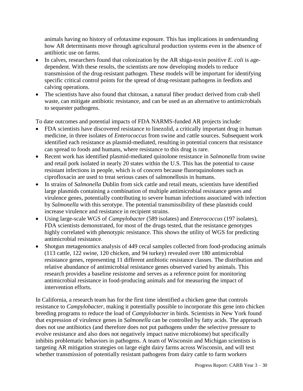animals having no history of cefotaxime exposure. This has implications in understanding how AR determinants move through agricultural production systems even in the absence of antibiotic use on farms.

- In calves, researchers found that colonization by the AR shiga-toxin positive *E. coli* is agedependent. With these results, the scientists are now developing models to reduce transmission of the drug-resistant pathogen. These models will be important for identifying specific critical control points for the spread of drug-resistant pathogens in feedlots and calving operations.
- The scientists have also found that chitosan, a natural fiber product derived from crab shell waste, can mitigate antibiotic resistance, and can be used as an alternative to antimicrobials to sequester pathogens.

To date outcomes and potential impacts of FDA NARMS-funded AR projects include:

- FDA scientists have discovered resistance to linezolid, a critically important drug in human medicine, in three isolates of *Enterococcus* from swine and cattle sources. Subsequent work identified each resistance as plasmid-mediated, resulting in potential concern that resistance can spread to foods and humans, where resistance to this drug is rare.
- Recent work has identified plasmid-mediated quinolone resistance in *Salmonella* from swine and retail pork isolated in nearly 20 states within the U.S. This has the potential to cause resistant infections in people, which is of concern because fluoroquinolones such as ciprofloxacin are used to treat serious cases of salmonellosis in humans.
- In strains of *Salmonella* Dublin from sick cattle and retail meats, scientists have identified large plasmids containing a combination of multiple antimicrobial resistance genes and virulence genes, potentially contributing to severe human infections associated with infection by *Salmonella* with this serotype. The potential transmissibility of these plasmids could increase virulence and resistance in recipient strains.
- Using large-scale WGS of *Campylobacter* (589 isolates) and *Enterococcus* (197 isolates), FDA scientists demonstrated, for most of the drugs tested, that the resistance genotypes highly correlated with phenotypic resistance. This shows the utility of WGS for predicting antimicrobial resistance.
- Shotgun metagenomics analysis of 449 cecal samples collected from food-producing animals (113 cattle, 122 swine, 120 chicken, and 94 turkey) revealed over 180 antimicrobial resistance genes, representing 11 different antibiotic resistance classes. The distribution and relative abundance of antimicrobial resistance genes observed varied by animals. This research provides a baseline resistome and serves as a reference point for monitoring antimicrobial resistance in food-producing animals and for measuring the impact of intervention efforts.

In California, a research team has for the first time identified a chicken gene that controls resistance to *Campylobacter,* making it potentially possible to incorporate this gene into chicken breeding programs to reduce the load of *Campylobacter* in birds. Scientists in New York found that expression of virulence genes in *Salmonella* can be controlled by fatty acids. The approach does not use antibiotics (and therefore does not put pathogens under the selective pressure to evolve resistance and also does not negatively impact native microbiome) but specifically inhibits problematic behaviors in pathogens. A team of Wisconsin and Michigan scientists is targeting AR mitigation strategies on large eight dairy farms across Wisconsin, and will test whether transmission of potentially resistant pathogens from dairy cattle to farm workers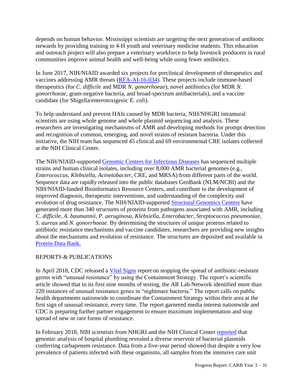depends on human behavior. Mississippi scientists are targeting the next generation of antibiotic stewards by providing training to 4-H youth and veterinary medicine students. This education and outreach project will also prepare a veterinary workforce to help livestock producers in rural communities improve animal health and well-being while using fewer antibiotics.

In June 2017, NIH/NIAID awarded six projects for preclinical development of therapeutics and vaccines addressing AMR threats [\(RFA-AI-16-034\)](https://grants.nih.gov/grants/guide/rfa-files/RFA-AI-16-034.html). These projects include immune-based therapeutics (for *C. difficile* and MDR *N. gonorrhoeae*), novel antibiotics (for MDR *N. gonorrhoeae,* gram-negative bacteria, and broad-spectrum antibacterials), and a vaccine candidate (for Shigella/enterotoxigenic *E. coli*).

To help understand and prevent HAIs caused by MDR bacteria, NIH/NHGRI intramural scientists are using whole genome and whole plasmid sequencing and analysis. These researchers are investigating mechanisms of AMR and developing methods for prompt detection and recognition of common, emerging, and novel strains of resistant bacteria. Under this initiative, the NIH team has sequenced 45 clinical and 69 environmental CRE isolates collected at the NIH Clinical Center.

The NIH/NIAID-supported [Genomic Centers for Infectious Diseases](https://www.niaid.nih.gov/research/genomic-centers-infectious-diseases) has sequenced multiple strains and human clinical isolates, including over 8,000 AMR bacterial genomes (e.g., *Enterococcus*, *Klebsiella*, *Acinetobacter*, CRE, and MRSA) from different parts of the world. Sequence data are rapidly released into the public databases GenBank (NLM/NCBI) and the NIH/NIAID-funded Bioinformatics Resource Centers, and contribute to the development of improved diagnosis, therapeutic interventions, and understanding of the complexity and evolution of drug resistance. The NIH/NIAID-supported [Structural Genomics Centers](https://www.niaid.nih.gov/research/structural-genomics-centers) have generated more than 340 structures of proteins from pathogens associated with AMR, including *C. difficile*, *A. baumannii*, *P. aeruginosa, Klebsiella, Enterobacter, Streptococcus pneumoniae, S. aureus* and *N. gonorrhoeae*. By determining the structures of unique proteins related to antibiotic resistance mechanisms and vaccine candidates, researchers are providing new insights about the mechanisms and evolution of resistance. The structures are deposited and available in [Protein Data Bank.](https://www.rcsb.org/)

#### REPORTS & PUBLICATIONS

In April 2018, CDC released a [Vital Signs](https://www.cdc.gov/vitalsigns/containing-unusual-resistance/) report on stopping the spread of antibiotic-resistant germs with "unusual resistance" by using the Containment Strategy. The report's scientific article showed that in its first nine months of testing, the AR Lab Network identified more than 220 instances of unusual resistance genes in "nightmare bacteria." The report calls on public health departments nationwide to coordinate the Containment Strategy within their area at the first sign of unusual resistance, every time. The report garnered media interest nationwide and CDC is preparing further partner engagement to ensure maximum implementation and stop spread of new or rare forms of resistance.

In February 2018, NIH scientists from NHGRI and the NIH Clinical Center [reported](https://www.ncbi.nlm.nih.gov/pubmed/29437920) that genomic analysis of hospital plumbing revealed a diverse reservoir of bacterial plasmids conferring carbapenem resistance. Data from a five-year period showed that despite a very low prevalence of patients infected with these organisms, all samples from the intensive care unit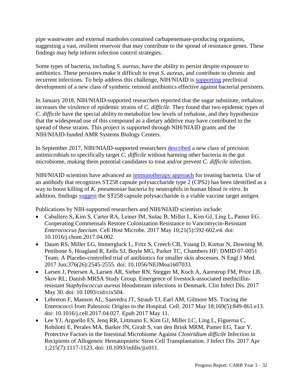pipe wastewater and external manholes contained carbapenemase-producing organisms, suggesting a vast, resilient reservoir that may contribute to the spread of resistance genes. These findings may help inform infection control strategies.

Some types of bacteria, including *S. aureus*, have the ability to persist despite exposure to antibiotics. These persisters make it difficult to treat *S. aureus*, and contribute to chronic and recurrent infections. To help address this challenge, NIH/NIAID is [supporting](https://www.ncbi.nlm.nih.gov/pubmed/29590091) preclinical development of a new class of synthetic retinoid antibiotics effective against bacterial persisters.

In January 2018, NIH/NIAID-supported researchers [reported](https://www.ncbi.nlm.nih.gov/pubmed/29310122) that the sugar substitute, trehalose, increases the virulence of epidemic strains of *C. difficile*. They found that two epidemic types of *C. difficile* have the special ability to metabolize low levels of trehalose, and they hypothesize that the widespread use of this compound as a dietary additive may have contributed to the spread of these strains. This project is supported through NIH/NIAID grants and the NIH/NIAID-funded AMR Systems Biology Centers.

In September 2017, NIH/NIAID-supported researchers [described](https://www.ncbi.nlm.nih.gov/pubmed/28878013) a new class of precision antimicrobials to specifically target *C. difficile* without harming other bacteria in the gut microbiome, making them potential candidates to treat and/or prevent *C. difficile* infection.

NIH/NIAID scientists have advanced an [immunotherapy approach](https://www.niaid.nih.gov/news-events/nih-scientists-describe-potential-antibody-approach-treating-multidrug-resistant) for treating bacteria. Use of an antibody that recognizes ST258 capsule polysaccharide type 2 (CPS2) has been identified as a way to boost killing of *K. pneumoniae* bacteria by neutrophils in human blood *in vitro*. In addition, findings [suggest](https://www.ncbi.nlm.nih.gov/pubmed/29535199) the ST258 capsule polysaccharide is a viable vaccine target antigen.

Publications by NIH-supported researchers and NIH/NIAID scientists include:

- Caballero S, Kim S, Carter RA, Leiner IM, Sušac B, Miller L, Kim GJ, Ling L, Pamer EG. Cooperating Commensals Restore Colonization Resistance to Vancomycin-Resistant *Enterococcus faecium*. Cell Host Microbe. 2017 May 10;21(5):592-602.e4. doi: 10.1016/j.chom.2017.04.002.
- Daum RS, Miller LG, Immergluck L, Fritz S, Creech CB, Young D, Kumar N, Downing M, Pettibone S, Hoagland R, Eells SJ, Boyle MG, Parker TC, Chambers HF; DMID 07-0051 Team. A Placebo-controlled trial of antibiotics for smaller skin abscesses. N Engl J Med. 2017 Jun;376(26):2545-2555. doi: 10.1056/NEJMoa1607033.
- Larsen J, Petersen A, Larsen AR, Sieber RN, Stegger M, Koch A, Aarestrup FM, Price LB, Skov RL; Danish MRSA Study Group. Emergence of livestock-associated methicillinresistant *Staphylococcus aureus* bloodstream infections in Denmark. Clin Infect Dis. 2017 May 30. doi: 10.1093/cid/cix504.
- Lebreton F, Manson AL, Saavedra JT, Straub TJ, Earl AM, Gilmore MS. Tracing the Enterococci from Paleozoic Origins to the Hospital. Cell. 2017 May 18;169(5):849-861.e13. doi: 10.1016/j.cell.2017.04.027. Epub 2017 May 11.
- Lee YJ, Arguello ES, Jenq RR, Littmann E, Kim GJ, Miller LC, Ling L, Figueroa C, Robilotti E, Perales MA, Barker JN, Giralt S, van den Brink MRM, Pamer EG, Taur Y. Protective Factors in the Intestinal Microbiome Against *Clostridium difficile* Infection in Recipients of Allogeneic Hematopoietic Stem Cell Transplantation. J Infect Dis. 2017 Apr 1;215(7):1117-1123. doi: 10.1093/infdis/jix011.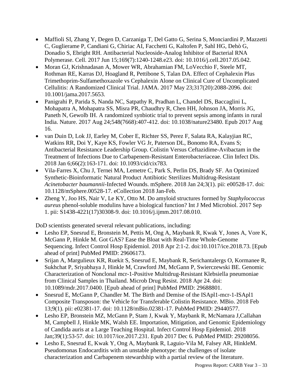- Maffioli SI, Zhang Y, Degen D, Carzaniga T, Del Gatto G, Serina S, Monciardini P, Mazzetti C, Guglierame P, Candiani G, Chiriac AI, Facchetti G, Kaltofen P, Sahl HG, Dehò G, Donadio S, Ebright RH. Antibacterial Nucleoside-Analog Inhibitor of Bacterial RNA Polymerase. Cell. 2017 Jun 15;169(7):1240-1248.e23. doi: 10.1016/j.cell.2017.05.042.
- Moran GJ, Krishnadasan A, Mower WR, Abrahamian FM, LoVecchio F, Steele MT, Rothman RE, Karras DJ, Hoagland R, Pettibone S, Talan DA. Effect of Cephalexin Plus Trimethoprim-Sulfamethoxazole vs Cephalexin Alone on Clinical Cure of Uncomplicated Cellulitis: A Randomized Clinical Trial. JAMA. 2017 May 23;317(20):2088-2096. doi: 10.1001/jama.2017.5653.
- Panigrahi P, Parida S, Nanda NC, Satpathy R, Pradhan L, Chandel DS, Baccaglini L, Mohapatra A, Mohapatra SS, Misra PR, Chaudhry R, Chen HH, Johnson JA, Morris JG, Paneth N, Gewolb IH. A randomized synbiotic trial to prevent sepsis among infants in rural India. Nature. 2017 Aug 24;548(7668):407-412. doi: 10.1038/nature23480. Epub 2017 Aug 16.
- van Duin D, Lok JJ, Earley M, Cober E, Richter SS, Perez F, Salata RA, Kalayjian RC, Watkins RR, Doi Y, Kaye KS, Fowler VG Jr, Paterson DL, Bonomo RA, Evans S; Antibacterial Resistance Leadership Group. Colistin Versus Ceftazidime-Avibactam in the Treatment of Infections Due to Carbapenem-Resistant Enterobacteriaceae. Clin Infect Dis. 2018 Jan 6;66(2):163-171. doi: 10.1093/cid/cix783.
- Vila-Farres X, Chu J, Ternei MA, Lemetre C, Park S, Perlin DS, Brady SF. An Optimized Synthetic-Bioinformatic Natural Product Antibiotic Sterilizes Multidrug-Resistant *Acinetobacter baumannii*-Infected Wounds. mSphere. 2018 Jan 24;3(1). pii: e00528-17. doi: 10.1128/mSphere.00528-17. eCollection 2018 Jan-Feb.
- Zheng Y, Joo HS, Nair V, Le KY, Otto M. Do amyloid structures formed by *Staphylococcus aureus* phenol-soluble modulins have a biological function? Int J Med Microbiol. 2017 Sep 1. pii: S1438-4221(17)30308-9. doi: 10.1016/j.ijmm.2017.08.010.

DoD scientists generated several relevant publications, including:

- Lesho EP, Snesrud E, Bronstein M, Pettis M, Ong A, Maybank R, Kwak Y, Jones A, Vore K, McGann P, Hinkle M. Got GAS? Ease the Bloat with Real-Time Whole-Genome Sequencing. Infect Control Hosp Epidemiol. 2018 Apr 2:1-2. doi:10.1017/ice.2018.73. [Epub ahead of print] PubMed PMID: 29606173.
- Srijan A, Margulieux KR, Ruekit S, Snesrud E, Maybank R, Serichantalergs O, Kormanee R, Sukhchat P, Sriyabhaya J, Hinkle M, Crawford JM, McGann P, Swierczewski BE. Genomic Characterization of Nonclonal mcr-1-Positive Multidrug-Resistant Klebsiella pneumoniae from Clinical Samples in Thailand. Microb Drug Resist. 2018 Apr 24. doi: 10.1089/mdr.2017.0400. [Epub ahead of print] PubMed PMID: 29688801.
- Snesrud E, McGann P, Chandler M. The Birth and Demise of the ISApl1-mcr-1-ISApl1 Composite Transposon: the Vehicle for Transferable Colistin Resistance. MBio. 2018 Feb 13;9(1). pii: e02381-17. doi: 10.1128/mBio.02381-17. PubMed PMID: 29440577.
- Lesho EP, Bronstein MZ, McGann P, Stam J, Kwak Y, Maybank R, McNamara J,Callahan M, Campbell J, Hinkle MK, Walsh EE. Importation, Mitigation, and Genomic Epidemiology of Candida auris at a Large Teaching Hospital. Infect Control Hosp Epidemiol. 2018 Jan;39(1):53-57. doi: 10.1017/ice.2017.231. Epub 2017 Dec 6. PubMed PMID: 29208056.
- Lesho E, Snesrud E, Kwak Y, Ong A, Maybank R, Laguio-Vila M, Falsey AR, HinkleM. Pseudomonas Endocarditis with an unstable phenotype: the challenges of isolate characterization and Carbapenem stewardship with a partial review of the literature.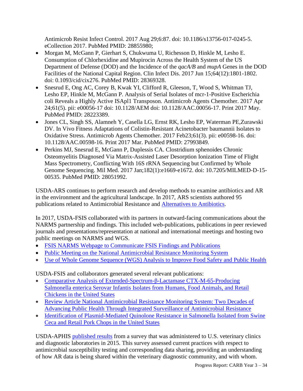Antimicrob Resist Infect Control. 2017 Aug 29;6:87. doi: 10.1186/s13756-017-0245-5. eCollection 2017. PubMed PMID: 28855980;

- Morgan M, McGann P, Gierhart S, Chukwuma U, Richesson D, Hinkle M, Lesho E. Consumption of Chlorhexidine and Mupirocin Across the Health System of the US Department of Defense (DOD) and the Incidence of the *qacA/B* and *mupA* Genes in the DOD Facilities of the National Capital Region. Clin Infect Dis. 2017 Jun 15;64(12):1801-1802. doi: 0.1093/cid/cix276. PubMed PMID: 28369328.
- Snesrud E, Ong AC, Corey B, Kwak YI, Clifford R, Gleeson, T, Wood S, Whitman TJ, Lesho EP, Hinkle M, McGann P. Analysis of Serial Isolates of mcr-1-Positive Escherichia coli Reveals a Highly Active ISApl1 Transposon. Antimicrob Agents Chemother. 2017 Apr 24;61(5). pii: e00056-17 doi: 10.1128/AEM doi: 10.1128/AAC.00056-17. Print 2017 May. PubMed PMID: 28223389.
- Jones CL, Singh SS, Alamneh Y, Casella LG, Ernst RK, Lesho EP, Waterman PE,Zurawski DV. In Vivo Fitness Adaptations of Colistin-Resistant Acinetobacter baumannii Isolates to Oxidative Stress. Antimicrob Agents Chemother. 2017 Feb23;61(3). pii: e00598-16. doi: 10.1128/AAC.00598-16. Print 2017 Mar. PubMed PMID: 27993849.
- Perkins MJ, Snesrud E, McGann P, Duplessis CA. Clostridium sphenoides Chronic Osteomyelitis Diagnosed Via Matrix-Assisted Laser Desorption Ionization Time of Flight Mass Spectrometry, Conflicting With 16S rRNA Sequencing but Confirmed by Whole Genome Sequencing. Mil Med. 2017 Jan;182(1):e1669-e1672. doi: 10.7205/MILMED-D-15- 00535. PubMed PMID: 28051992.

USDA-ARS continues to perform research and develop methods to examine antibiotics and AR in the environment and the agricultural landscape. In 2017, ARS scientists authored 95 publications related to Antimicrobial Resistance and [Alternatives to Antibiotics.](https://www.ars.usda.gov/alternativestoantibiotics/)

In 2017, USDA-FSIS collaborated with its partners in outward-facing communications about the NARMS partnership and findings. This included web-publications, publications in peer reviewed journals and presentations/representation at national and international meetings and hosting two public meetings on NARMS and WGS.

- [FSIS NARMS Webpage to Communicate FSIS Findings and Publications](https://www.fsis.usda.gov/wps/portal/fsis/topics/data-collection-and-reports/microbiology/antimicrobial-resistance/narms)
- [Public Meeting on the National Antimicrobial Resistance Monitoring System](https://www.fda.gov/AnimalVeterinary/SafetyHealth/AntimicrobialResistance/NationalAntimicrobialResistanceMonitoringSystem/ucm576281.htm)
- [Use of Whole Genome Sequence \(WGS\) Analysis to Improve Food Safety and Public Health](https://www.fsis.usda.gov/wps/portal/fsis/newsroom/meetings/meetings-archive/2017-meetings/agenda-wgs-102617)

USDA-FSIS and collaborators generated several relevant publications:

- [Comparative Analysis of Extended-Spectrum-β-Lactamase CTX-M-65-Producing](http://aac.asm.org/content/61/7/e00488-17.abstract)  [Salmonella enterica Serovar Infantis Isolates from Humans, Food Animals, and Retail](http://aac.asm.org/content/61/7/e00488-17.abstract)  [Chickens in the United States](http://aac.asm.org/content/61/7/e00488-17.abstract)
- [Review Article National Antimicrobial Resistance Monitoring System: Two Decades of](https://www.liebertpub.com/doi/abs/10.1089/fpd.2017.2283)  [Advancing Public Health Through Integrated Surveillance of Antimicrobial Resistance](https://www.liebertpub.com/doi/abs/10.1089/fpd.2017.2283)
- [Identification of Plasmid-Mediated Quinolone Resistance in Salmonella Isolated from Swine](http://aac.asm.org/content/61/10/e01318-17.short)  [Ceca and Retail Pork Chops in the United States](http://aac.asm.org/content/61/10/e01318-17.short)

USDA-APHIS [published results](https://www.ncbi.nlm.nih.gov/pubmed/28599616) from a survey that was administered to U.S. veterinary clinics and diagnostic laboratories in 2015. This survey assessed current practices with respect to antimicrobial susceptibility testing and corresponding data sharing, providing an understanding of how AR data is being shared within the veterinary diagnostic community, and with whom.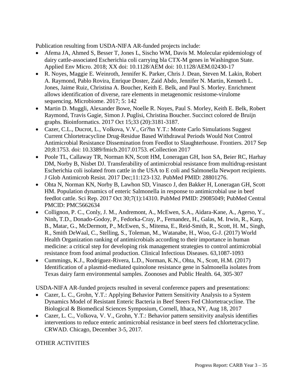Publication resulting from USDA-NIFA AR-funded projects include:

- Afema JA, Ahmed S, Besser T, Jones L, Sischo WM, Davis M. Molecular epidemiology of dairy cattle-associated Escherichia coli carrying bla CTX-M genes in Washington State. Applied Env Micro. 2018; XX doi: 10.1128/AEM doi: 10.1128/AEM.02430-17
- R. Noyes, Maggie E. Weinroth, Jennifer K. Parker, Chris J. Dean, Steven M. Lakin, Robert A. Raymond, Pablo Rovira, Enrique Doster, Zaid Abdo, Jennifer N. Martin, Kenneth L. Jones, Jaime Ruiz, Christina A. Boucher, Keith E. Belk, and Paul S. Morley. Enrichment allows identification of diverse, rare elements in metagenomic resistome-virulome sequencing. Microbiome. 2017; 5: 142
- Martin D. Muggli, Alexander Bowe, Noelle R. Noyes, Paul S. Morley, Keith E. Belk, Robert Raymond, Travis Gagie, Simon J. Puglisi, Christina Boucher. Succinct colored de Bruijn graphs. Bioinformatics. 2017 Oct 15;33 (20):3181-3187.
- Cazer, C.L., Ducrot, L., Volkova, V.V., Gr?hn Y.T.: Monte Carlo Simulations Suggest Current Chlortetracycline Drug-Residue Based Withdrawal Periods Would Not Control Antimicrobial Resistance Dissemination from Feedlot to Slaughterhouse. Frontiers. 2017 Sep 20;8:1753. doi: 10.3389/fmicb.2017.01753. eCollection 2017
- Poole TL, Callaway TR, Norman KN, Scott HM, Loneragan GH, Ison SA, Beier RC, Harhay DM, Norby B, Nisbet DJ. Transferability of antimicrobial resistance from multidrug-resistant Escherichia coli isolated from cattle in the USA to E coli and Salmonella Newport recipients. J Glob Antimicrob Resist. 2017 Dec;11:123-132. PubMed PMID: 28801276.
- Ohta N, Norman KN, Norby B, Lawhon SD, Vinasco J, den Bakker H, Loneragan GH, Scott HM. Population dynamics of enteric Salmonella in response to antimicrobial use in beef feedlot cattle. Sci Rep. 2017 Oct 30;7(1):14310. PubMed PMID: 29085049; PubMed Central PMCID: PMC5662634
- Collignon, P. C., Conly, J. M., Andremont, A., McEwen, S.A., Aidara-Kane, A., Agerso, Y., Ninh, T.D., Donado-Godoy, P., Fedorka-Cray, P., Fernandez, H., Galas, M. Irwin, R., Karp, B., Matar, G., McDermott, P., McEwen, S., Mitema, E., Reid-Smith, R., Scott, H. M., Singh, R., Smith DeWaal, C., Stelling, S., Toleman, M., Watanabe, H., Woo, G-J. (2017) World Health Organization ranking of antimicrobials according to their importance in human medicine: a critical step for developing risk management strategies to control antimicrobial resistance from food animal production. Clinical Infectious Diseases. 63,1087-1093
- Cummings, K.J., Rodriguez-Rivera, L.D., Norman, K.N., Ohta, N., Scott, H.M. (2017) Identification of a plasmid-mediated quinolone resistance gene in Salmonella isolates from Texas dairy farm environmental samples. Zoonoses and Public Health. 64, 305-307

USDA-NIFA AR-funded projects resulted in several conference papers and presentations:

- Cazer, L. C., Grohn, Y.T.: Applying Behavior Pattern Sensitivity Analysis to a System Dynamics Model of Resistant Enteric Bacteria in Beef Steers Fed Chlortetracycline. The Biological & Biomedical Sciences Symposium, Cornell, Ithaca, NY, Aug 18, 2017
- Cazer, L. C., Volkova, V. V., Grohn, Y.T.: Behavior pattern sensitivity analysis identifies interventions to reduce enteric antimicrobial resistance in beef steers fed chlortetracycline. CRWAD. Chicago, December 3-5, 2017.

#### OTHER ACTIVITIES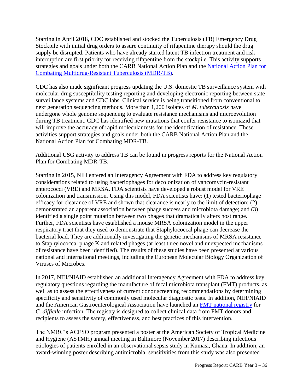Starting in April 2018, CDC established and stocked the Tuberculosis (TB) Emergency Drug Stockpile with initial drug orders to assure continuity of rifapentine therapy should the drug supply be disrupted. Patients who have already started latent TB infection treatment and risk interruption are first priority for receiving rifapentine from the stockpile. This activity supports strategies and goals under both the CARB National Action Plan and the [National Action Plan for](https://www.usaid.gov/what-we-do/global-health/tuberculosis/resources/news-and-updates/national-action-plan-combating-mdr)  [Combating Multidrug-Resistant Tuberculosis \(MDR-TB\).](https://www.usaid.gov/what-we-do/global-health/tuberculosis/resources/news-and-updates/national-action-plan-combating-mdr)

CDC has also made significant progress updating the U.S. domestic TB surveillance system with molecular drug susceptibility testing reporting and developing electronic reporting between state surveillance systems and CDC labs. Clinical service is being transitioned from conventional to next generation sequencing methods. More than 1,200 isolates of *M. tuberculosis* have undergone whole genome sequencing to evaluate resistance mechanisms and microevolution during TB treatment. CDC has identified new mutations that confer resistance to isoniazid that will improve the accuracy of rapid molecular tests for the identification of resistance. These activities support strategies and goals under both the CARB National Action Plan and the National Action Plan for Combating MDR-TB.

Additional USG activity to address TB can be found in progress reports for the National Action Plan for Combating MDR-TB.

Starting in 2015, NIH entered an Interagency Agreement with FDA to address key regulatory considerations related to using bacteriophages for decolonization of vancomycin-resistant enterococci (VRE) and MRSA. FDA scientists have developed a robust model for VRE colonization and transmission. Using this model, FDA scientists have: (1) tested bacteriophage efficacy for clearance of VRE and shown that clearance is nearly to the limit of detection; (2) demonstrated an apparent association between phage success and microbiota damage; and (3) identified a single point mutation between two phages that dramatically alters host range. Further, FDA scientists have established a mouse MRSA colonization model in the upper respiratory tract that they used to demonstrate that Staphylococcal phage can decrease the bacterial load. They are additionally investigating the genetic mechanisms of MRSA resistance to Staphylococcal phage K and related phages (at least three novel and unexpected mechanisms of resistance have been identified). The results of these studies have been presented at various national and international meetings, including the European Molecular Biology Organization of Viruses of Microbes.

In 2017, NIH/NIAID established an additional Interagency Agreement with FDA to address key regulatory questions regarding the manufacture of fecal microbiota transplant (FMT) products, as well as to assess the effectiveness of current donor screening recommendations by determining specificity and sensitivity of commonly used molecular diagnostic tests. In addition, NIH/NIAID and the American Gastroenterological Association have launched an [FMT national registry](https://clinicaltrials.gov/ct2/show/study/NCT03325855?cond=FMT+National+registry&rank=1#contacts) for *C. difficile* infection. The registry is designed to collect clinical data from FMT donors and recipients to assess the safety, effectiveness, and best practices of this intervention.

The NMRC's ACESO program presented a poster at the American Society of Tropical Medicine and Hygiene (ASTMH) annual meeting in Baltimore (November 2017) describing infectious etiologies of patients enrolled in an observational sepsis study in Kumasi, Ghana. In addition, an award-winning poster describing antimicrobial sensitivities from this study was also presented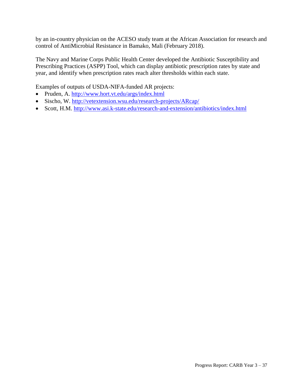by an in-country physician on the ACESO study team at the African Association for research and control of AntiMicrobial Resistance in Bamako, Mali (February 2018).

The Navy and Marine Corps Public Health Center developed the Antibiotic Susceptibility and Prescribing Practices (ASPP) Tool, which can display antibiotic prescription rates by state and year, and identify when prescription rates reach alter thresholds within each state.

Examples of outputs of USDA-NIFA-funded AR projects:

- Pruden, A.<http://www.hort.vt.edu/args/index.html>
- Sischo, W. [http://vetextension.wsu.edu/research-projects/ARcap/](http://vetextension.wsu.edu/research-projects/amrcap/)
- Scott, H.M.<http://www.asi.k-state.edu/research-and-extension/antibiotics/index.html>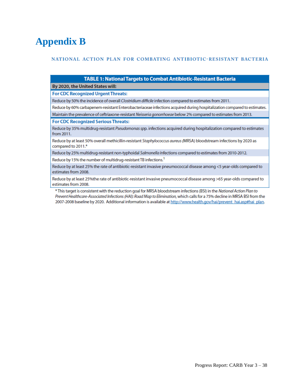## **Appendix B**

#### NATIONAL ACTION PLAN FOR COMBATING ANTIBIOTIC-RESISTANT BACTERIA

| <b>TABLE 1: National Targets to Combat Antibiotic-Resistant Bacteria</b>                                                                                                                                                                                                                                                                                                          |
|-----------------------------------------------------------------------------------------------------------------------------------------------------------------------------------------------------------------------------------------------------------------------------------------------------------------------------------------------------------------------------------|
| By 2020, the United States will:                                                                                                                                                                                                                                                                                                                                                  |
| <b>For CDC Recognized Urgent Threats:</b>                                                                                                                                                                                                                                                                                                                                         |
| Reduce by 50% the incidence of overall Clostridium difficile infection compared to estimates from 2011.                                                                                                                                                                                                                                                                           |
| Reduce by 60% carbapenem-resistant Enterobacteriaceae infections acquired during hospitalization compared to estimates.                                                                                                                                                                                                                                                           |
| Maintain the prevalence of ceftriaxone-resistant Neisseria gonorrhoeae below 2% compared to estimates from 2013.                                                                                                                                                                                                                                                                  |
| <b>For CDC Recognized Serious Threats:</b>                                                                                                                                                                                                                                                                                                                                        |
| Reduce by 35% multidrug-resistant Pseudomonas spp. infections acquired during hospitalization compared to estimates<br>from 2011.                                                                                                                                                                                                                                                 |
| Reduce by at least 50% overall methicillin-resistant Staphylococcus aureus (MRSA) bloodstream infections by 2020 as<br>compared to 2011.*                                                                                                                                                                                                                                         |
| Reduce by 25% multidrug-resistant non-typhoidal Salmonella infections compared to estimates from 2010-2012.                                                                                                                                                                                                                                                                       |
| Reduce by 15% the number of multidrug-resistant TB infections. <sup>1</sup>                                                                                                                                                                                                                                                                                                       |
| Reduce by at least 25% the rate of antibiotic-resistant invasive pneumococcal disease among <5 year-olds compared to<br>estimates from 2008.                                                                                                                                                                                                                                      |
| Reduce by at least 25%the rate of antibiotic-resistant invasive pneumococcal disease among >65 year-olds compared to<br>estimates from 2008.                                                                                                                                                                                                                                      |
| * This target is consistent with the reduction goal for MRSA bloodstream infections (BSI) in the National Action Plan to<br>Prevent Healthcare-Associated Infections (HAI): Road Map to Elimination, which calls for a 75% decline in MRSA BSI from the<br>2007-2008 baseline by 2020. Additional information is available at http://www.health.gov/hai/prevent hai.asp#hai plan. |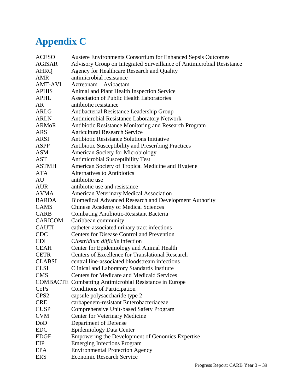# **Appendix C**

| <b>ACESO</b>     | Austere Environments Consortium for Enhanced Sepsis Outcomes          |
|------------------|-----------------------------------------------------------------------|
| <b>AGISAR</b>    | Advisory Group on Integrated Surveillance of Antimicrobial Resistance |
| AHRQ             | Agency for Healthcare Research and Quality                            |
| AMR              | antimicrobial resistance                                              |
| <b>AMT-AVI</b>   | Aztreonam – Avibactam                                                 |
| <b>APHIS</b>     | Animal and Plant Health Inspection Service                            |
| <b>APHL</b>      | <b>Association of Public Health Laboratories</b>                      |
| <b>AR</b>        | antibiotic resistance                                                 |
| <b>ARLG</b>      | Antibacterial Resistance Leadership Group                             |
| <b>ARLN</b>      | Antimicrobial Resistance Laboratory Network                           |
| <b>ARMOR</b>     | Antibiotic Resistance Monitoring and Research Program                 |
| <b>ARS</b>       | <b>Agricultural Research Service</b>                                  |
| ARSI             | Antibiotic Resistance Solutions Initiative                            |
| <b>ASPP</b>      | Antibiotic Susceptibility and Prescribing Practices                   |
| <b>ASM</b>       | <b>American Society for Microbiology</b>                              |
| AST              | Antimicrobial Susceptibility Test                                     |
| <b>ASTMH</b>     | American Society of Tropical Medicine and Hygiene                     |
| <b>ATA</b>       | <b>Alternatives to Antibiotics</b>                                    |
| AU               | antibiotic use                                                        |
| <b>AUR</b>       | antibiotic use and resistance                                         |
| <b>AVMA</b>      | <b>American Veterinary Medical Association</b>                        |
| <b>BARDA</b>     | <b>Biomedical Advanced Research and Development Authority</b>         |
| CAMS             | <b>Chinese Academy of Medical Sciences</b>                            |
| <b>CARB</b>      | <b>Combating Antibiotic-Resistant Bacteria</b>                        |
| <b>CARICOM</b>   | Caribbean community                                                   |
| <b>CAUTI</b>     | catheter-associated urinary tract infections                          |
| <b>CDC</b>       | <b>Centers for Disease Control and Prevention</b>                     |
| CDI.             | Clostridium difficile infection                                       |
| CEAH             | Center for Epidemiology and Animal Health                             |
| <b>CETR</b>      | <b>Centers of Excellence for Translational Research</b>               |
| <b>CLABSI</b>    | central line-associated bloodstream infections                        |
| <b>CLSI</b>      | Clinical and Laboratory Standards Institute                           |
| <b>CMS</b>       | <b>Centers for Medicare and Medicaid Services</b>                     |
|                  | <b>COMBACTE</b> Combatting Antimicrobial Resistance in Europe         |
| CoPs             | <b>Conditions of Participation</b>                                    |
| CPS <sub>2</sub> | capsule polysaccharide type 2                                         |
| <b>CRE</b>       | carbapenem-resistant Enterobacteriaceae                               |
| <b>CUSP</b>      | Comprehensive Unit-based Safety Program                               |
| <b>CVM</b>       | <b>Center for Veterinary Medicine</b>                                 |
| DoD              | Department of Defense                                                 |
| <b>EDC</b>       | <b>Epidemiology Data Center</b>                                       |
| <b>EDGE</b>      | Empowering the Development of Genomics Expertise                      |
| <b>EIP</b>       | <b>Emerging Infections Program</b>                                    |
| <b>EPA</b>       | <b>Environmental Protection Agency</b>                                |
| <b>ERS</b>       | <b>Economic Research Service</b>                                      |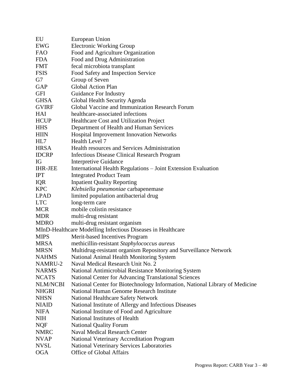| EU             | European Union                                                              |
|----------------|-----------------------------------------------------------------------------|
| EWG            | <b>Electronic Working Group</b>                                             |
| <b>FAO</b>     | Food and Agriculture Organization                                           |
| <b>FDA</b>     | Food and Drug Administration                                                |
| <b>FMT</b>     | fecal microbiota transplant                                                 |
| <b>FSIS</b>    | Food Safety and Inspection Service                                          |
| G7             | Group of Seven                                                              |
| GAP            | <b>Global Action Plan</b>                                                   |
| <b>GFI</b>     | Guidance For Industry                                                       |
| <b>GHSA</b>    | Global Health Security Agenda                                               |
| <b>GVIRF</b>   | Global Vaccine and Immunization Research Forum                              |
| <b>HAI</b>     | healthcare-associated infections                                            |
| <b>HCUP</b>    | Healthcare Cost and Utilization Project                                     |
| <b>HHS</b>     | Department of Health and Human Services                                     |
| <b>HIIN</b>    | Hospital Improvement Innovation Networks                                    |
| HL7            | Health Level 7                                                              |
| <b>HRSA</b>    | Health resources and Services Administration                                |
| <b>IDCRP</b>   | Infectious Disease Clinical Research Program                                |
| IG             | <b>Interpretive Guidance</b>                                                |
| <b>IHR-JEE</b> | International Health Regulations - Joint Extension Evaluation               |
| <b>IPT</b>     | <b>Integrated Product Team</b>                                              |
| <b>IQR</b>     | <b>Inpatient Quality Reporting</b>                                          |
| <b>KPC</b>     | Klebsiella pneumoniae carbapenemase                                         |
| <b>LPAD</b>    | limited population antibacterial drug                                       |
| <b>LTC</b>     | long-term care                                                              |
| <b>MCR</b>     | mobile colistin resistance                                                  |
| <b>MDR</b>     | multi-drug resistant                                                        |
| <b>MDRO</b>    | multi-drug resistant organism                                               |
|                | MInD-Healthcare Modelling Infectious Diseases in Healthcare                 |
| <b>MIPS</b>    | Merit-based Incentives Program                                              |
| <b>MRSA</b>    | methicillin-resistant Staphylococcus aureus                                 |
| <b>MRSN</b>    | Multidrug-resistant organism Repository and Surveillance Network            |
| <b>NAHMS</b>   | National Animal Health Monitoring System                                    |
| NAMRU-2        | Naval Medical Research Unit No. 2                                           |
| <b>NARMS</b>   | National Antimicrobial Resistance Monitoring System                         |
| <b>NCATS</b>   | <b>National Center for Advancing Translational Sciences</b>                 |
| NLM/NCBI       | National Center for Biotechnology Information, National Library of Medicine |
| <b>NHGRI</b>   | National Human Genome Research Institute                                    |
| <b>NHSN</b>    | <b>National Healthcare Safety Network</b>                                   |
| <b>NIAID</b>   | National Institute of Allergy and Infectious Diseases                       |
| <b>NIFA</b>    | National Institute of Food and Agriculture                                  |
| <b>NIH</b>     | National Institutes of Health                                               |
| <b>NQF</b>     | <b>National Quality Forum</b>                                               |
| <b>NMRC</b>    | <b>Naval Medical Research Center</b>                                        |
| <b>NVAP</b>    | National Veterinary Accreditation Program                                   |
| <b>NVSL</b>    | National Veterinary Services Laboratories                                   |
| <b>OGA</b>     | Office of Global Affairs                                                    |